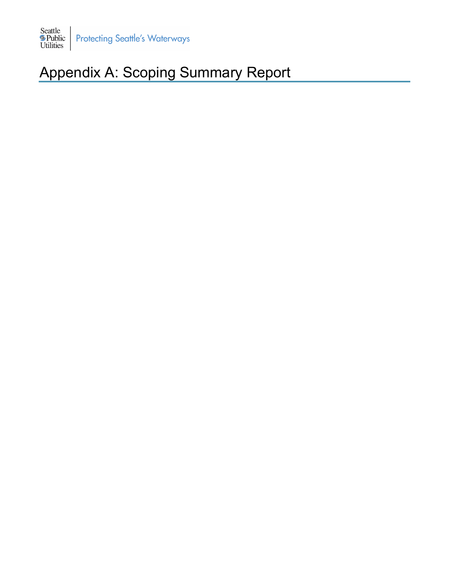

# Appendix A: Scoping Summary Report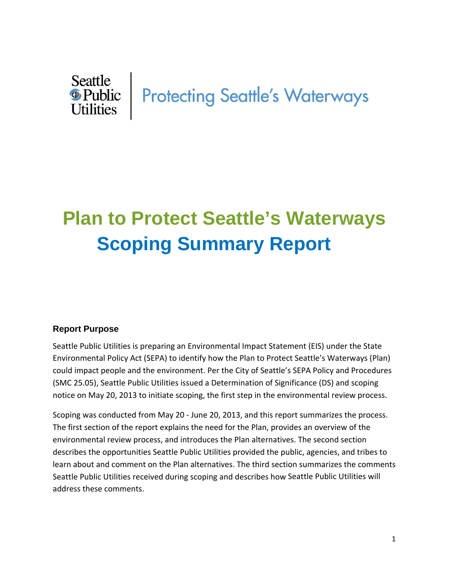# Seattle<br> **In Protecting Seattle's Waterways**<br>
Utilities

# **Plan to Protect Seattle's Waterways Scoping Summary Report**

#### **Report Purpose**

Seattle Public Utilities is preparing an Environmental Impact Statement (EIS) under the State Environmental Policy Act (SEPA) to identify how the Plan to Protect Seattle's Waterways (Plan) could impact people and the environment. Per the City of Seattle's SEPA Policy and Procedures (SMC 25.05), Seattle Public Utilities issued a Determination of Significance (DS) and scoping notice on May 20, 2013 to initiate scoping, the first step in the environmental review process.

Scoping was conducted from May 20 ‐ June 20, 2013, and this report summarizes the process. The first section of the report explains the need for the Plan, provides an overview of the environmental review process, and introduces the Plan alternatives. The second section describes the opportunities Seattle Public Utilities provided the public, agencies, and tribes to learn about and comment on the Plan alternatives. The third section summarizes the comments Seattle Public Utilities received during scoping and describes how Seattle Public Utilities will address these comments.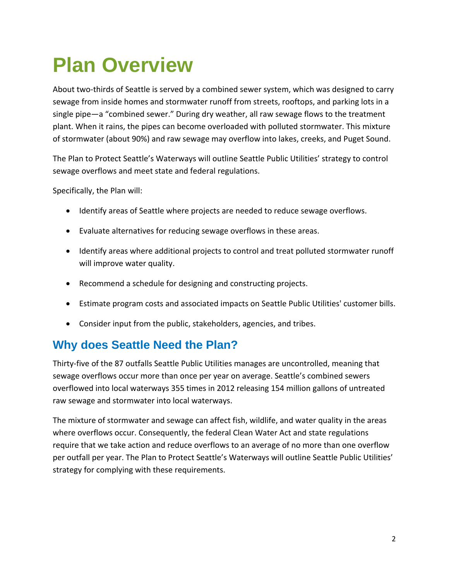# **Plan Overview**

About two-thirds of Seattle is served by a combined sewer system, which was designed to carry sewage from inside homes and stormwater runoff from streets, rooftops, and parking lots in a single pipe—a "combined sewer." During dry weather, all raw sewage flows to the treatment plant. When it rains, the pipes can become overloaded with polluted stormwater. This mixture of stormwater (about 90%) and raw sewage may overflow into lakes, creeks, and Puget Sound.

The Plan to Protect Seattle's Waterways will outline Seattle Public Utilities' strategy to control sewage overflows and meet state and federal regulations.

Specifically, the Plan will:

- Identify areas of Seattle where projects are needed to reduce sewage overflows.
- Evaluate alternatives for reducing sewage overflows in these areas.
- Identify areas where additional projects to control and treat polluted stormwater runoff will improve water quality.
- Recommend a schedule for designing and constructing projects.
- Estimate program costs and associated impacts on Seattle Public Utilities' customer bills.
- Consider input from the public, stakeholders, agencies, and tribes.

### **Why does Seattle Need the Plan?**

Thirty‐five of the 87 outfalls Seattle Public Utilities manages are uncontrolled, meaning that sewage overflows occur more than once per year on average. Seattle's combined sewers overflowed into local waterways 355 times in 2012 releasing 154 million gallons of untreated raw sewage and stormwater into local waterways.

The mixture of stormwater and sewage can affect fish, wildlife, and water quality in the areas where overflows occur. Consequently, the federal Clean Water Act and state regulations require that we take action and reduce overflows to an average of no more than one overflow per outfall per year. The Plan to Protect Seattle's Waterways will outline Seattle Public Utilities' strategy for complying with these requirements.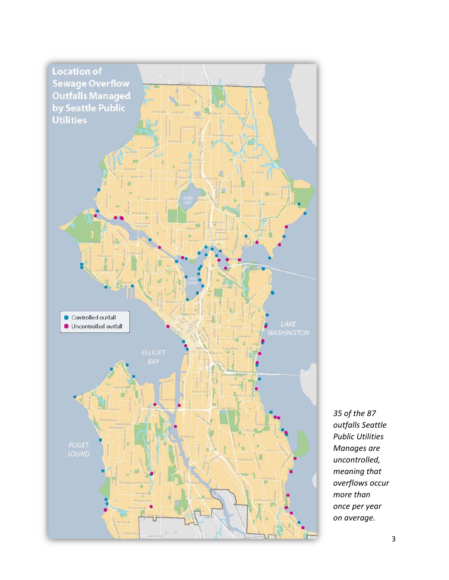

*35 of the 87 outfalls Seattle Public Utilities Manages are uncontrolled, meaning that overflows occur more than once per year on average.*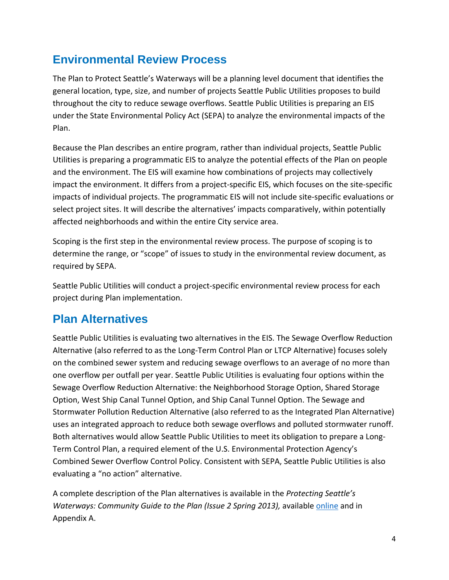## **Environmental Review Process**

The Plan to Protect Seattle's Waterways will be a planning level document that identifies the general location, type, size, and number of projects Seattle Public Utilities proposes to build throughout the city to reduce sewage overflows. Seattle Public Utilities is preparing an EIS under the State Environmental Policy Act (SEPA) to analyze the environmental impacts of the Plan.

Because the Plan describes an entire program, rather than individual projects, Seattle Public Utilities is preparing a programmatic EIS to analyze the potential effects of the Plan on people and the environment. The EIS will examine how combinations of projects may collectively impact the environment. It differs from a project-specific EIS, which focuses on the site-specific impacts of individual projects. The programmatic EIS will not include site-specific evaluations or select project sites. It will describe the alternatives' impacts comparatively, within potentially affected neighborhoods and within the entire City service area.

Scoping is the first step in the environmental review process. The purpose of scoping is to determine the range, or "scope" of issues to study in the environmental review document, as required by SEPA.

Seattle Public Utilities will conduct a project-specific environmental review process for each project during Plan implementation.

### **Plan Alternatives**

Seattle Public Utilities is evaluating two alternatives in the EIS. The Sewage Overflow Reduction Alternative (also referred to as the Long‐Term Control Plan or LTCP Alternative) focuses solely on the combined sewer system and reducing sewage overflows to an average of no more than one overflow per outfall per year. Seattle Public Utilities is evaluating four options within the Sewage Overflow Reduction Alternative: the Neighborhood Storage Option, Shared Storage Option, West Ship Canal Tunnel Option, and Ship Canal Tunnel Option. The Sewage and Stormwater Pollution Reduction Alternative (also referred to as the Integrated Plan Alternative) uses an integrated approach to reduce both sewage overflows and polluted stormwater runoff. Both alternatives would allow Seattle Public Utilities to meet its obligation to prepare a Long‐ Term Control Plan, a required element of the U.S. Environmental Protection Agency's Combined Sewer Overflow Control Policy. Consistent with SEPA, Seattle Public Utilities is also evaluating a "no action" alternative.

A complete description of the Plan alternatives is available in the *Protecting Seattle's Waterways: Community Guide to the Plan (Issue 2 Spring 2013),* available online and in Appendix A.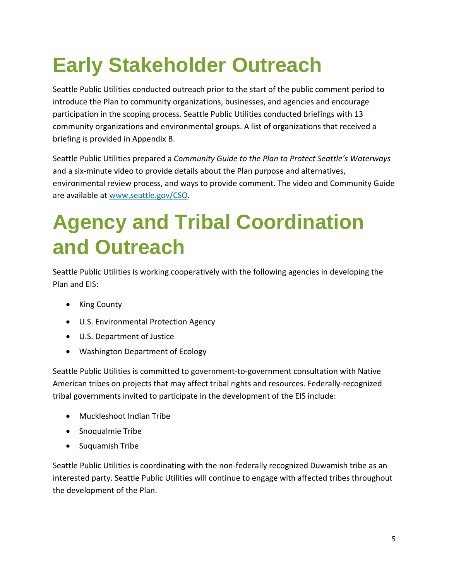# **Early Stakeholder Outreach**

Seattle Public Utilities conducted outreach prior to the start of the public comment period to introduce the Plan to community organizations, businesses, and agencies and encourage participation in the scoping process. Seattle Public Utilities conducted briefings with 13 community organizations and environmental groups. A list of organizations that received a briefing is provided in Appendix B.

Seattle Public Utilities prepared a *Community Guide to the Plan to Protect Seattle's Waterways* and a six‐minute video to provide details about the Plan purpose and alternatives, environmental review process, and ways to provide comment. The video and Community Guide are available at www.seattle.gov/CSO.

# **Agency and Tribal Coordination and Outreach**

Seattle Public Utilities is working cooperatively with the following agencies in developing the Plan and EIS:

- King County
- U.S. Environmental Protection Agency
- U.S. Department of Justice
- Washington Department of Ecology

Seattle Public Utilities is committed to government‐to‐government consultation with Native American tribes on projects that may affect tribal rights and resources. Federally‐recognized tribal governments invited to participate in the development of the EIS include:

- Muckleshoot Indian Tribe
- Snoqualmie Tribe
- Suquamish Tribe

Seattle Public Utilities is coordinating with the non-federally recognized Duwamish tribe as an interested party. Seattle Public Utilities will continue to engage with affected tribes throughout the development of the Plan.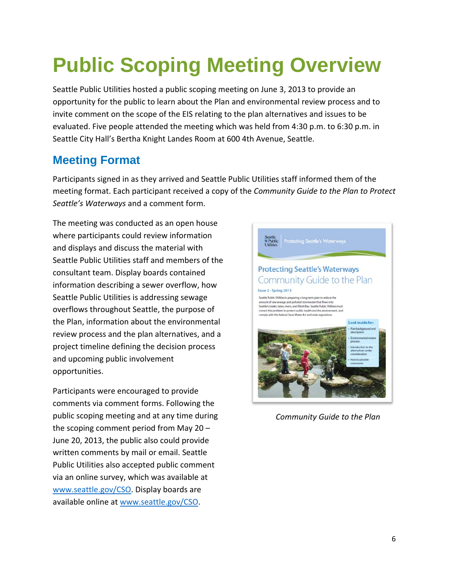# **Public Scoping Meeting Overview**

Seattle Public Utilities hosted a public scoping meeting on June 3, 2013 to provide an opportunity for the public to learn about the Plan and environmental review process and to invite comment on the scope of the EIS relating to the plan alternatives and issues to be evaluated. Five people attended the meeting which was held from 4:30 p.m. to 6:30 p.m. in Seattle City Hall's Bertha Knight Landes Room at 600 4th Avenue, Seattle.

### **Meeting Format**

Participants signed in as they arrived and Seattle Public Utilities staff informed them of the meeting format. Each participant received a copy of the *Community Guide to the Plan to Protect Seattle's Waterways* and a comment form.

The meeting was conducted as an open house where participants could review information and displays and discuss the material with Seattle Public Utilities staff and members of the consultant team. Display boards contained information describing a sewer overflow, how Seattle Public Utilities is addressing sewage overflows throughout Seattle, the purpose of the Plan, information about the environmental review process and the plan alternatives, and a project timeline defining the decision process and upcoming public involvement opportunities.

Participants were encouraged to provide comments via comment forms. Following the public scoping meeting and at any time during the scoping comment period from May 20 – June 20, 2013, the public also could provide written comments by mail or email. Seattle Public Utilities also accepted public comment via an online survey, which was available at www.seattle.gov/CSO. Display boards are available online at www.seattle.gov/CSO.



*Community Guide to the Plan*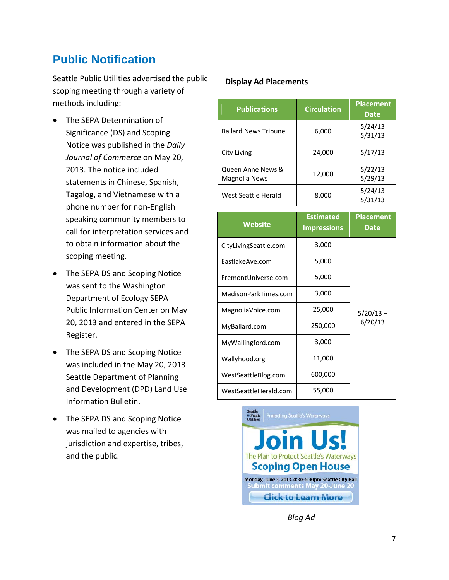### **Public Notification**

Seattle Public Utilities advertised the public scoping meeting through a variety of methods including:

- The SEPA Determination of Significance (DS) and Scoping Notice was published in the *Daily Journal of Commerce* on May 20, 2013. The notice included statements in Chinese, Spanish, Tagalog, and Vietnamese with a phone number for non‐English speaking community members to call for interpretation services and to obtain information about the scoping meeting.
- The SEPA DS and Scoping Notice was sent to the Washington Department of Ecology SEPA Public Information Center on May 20, 2013 and entered in the SEPA Register.
- The SEPA DS and Scoping Notice was included in the May 20, 2013 Seattle Department of Planning and Development (DPD) Land Use Information Bulletin.
- The SEPA DS and Scoping Notice was mailed to agencies with jurisdiction and expertise, tribes, and the public.

#### **Display Ad Placements**

| <b>Publications</b>                | <b>Circulation</b> | <b>Placement</b><br><b>Date</b> |
|------------------------------------|--------------------|---------------------------------|
| <b>Ballard News Tribune</b>        | 6,000              | 5/24/13<br>5/31/13              |
| City Living                        | 24,000             | 5/17/13                         |
| Queen Anne News &<br>Magnolia News | 12,000             | 5/22/13<br>5/29/13              |
| West Seattle Herald                | 8,000              | 5/24/13<br>5/31/13              |

| <b>Website</b>        | <b>Estimated</b><br><b>Impressions</b> | <b>Placement</b><br>Date |  |
|-----------------------|----------------------------------------|--------------------------|--|
| CityLivingSeattle.com | 3,000                                  |                          |  |
| EastlakeAve.com       | 5,000                                  |                          |  |
| FremontUniverse.com   | 5,000                                  |                          |  |
| MadisonParkTimes.com  | 3,000                                  |                          |  |
| MagnoliaVoice.com     | 25,000                                 | $5/20/13 -$              |  |
| MyBallard.com         | 250,000                                | 6/20/13                  |  |
| MyWallingford.com     | 3,000                                  |                          |  |
| Wallyhood.org         | 11,000                                 |                          |  |
| WestSeattleBlog.com   | 600,000                                |                          |  |
| WestSeattleHerald.com | 55,000                                 |                          |  |



*Blog Ad*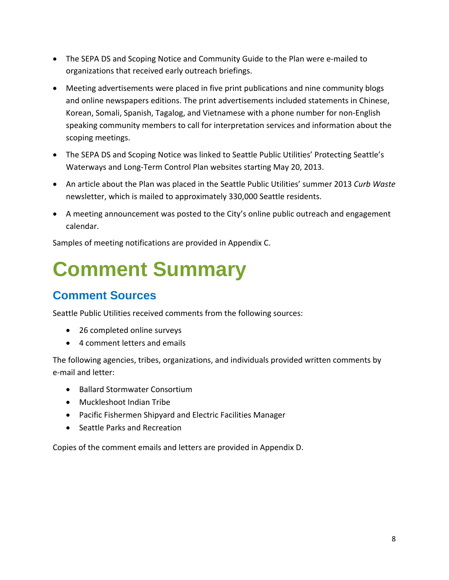- The SEPA DS and Scoping Notice and Community Guide to the Plan were e-mailed to organizations that received early outreach briefings.
- Meeting advertisements were placed in five print publications and nine community blogs and online newspapers editions. The print advertisements included statements in Chinese, Korean, Somali, Spanish, Tagalog, and Vietnamese with a phone number for non‐English speaking community members to call for interpretation services and information about the scoping meetings.
- The SEPA DS and Scoping Notice was linked to Seattle Public Utilities' Protecting Seattle's Waterways and Long‐Term Control Plan websites starting May 20, 2013.
- An article about the Plan was placed in the Seattle Public Utilities' summer 2013 *Curb Waste* newsletter, which is mailed to approximately 330,000 Seattle residents.
- A meeting announcement was posted to the City's online public outreach and engagement calendar.

Samples of meeting notifications are provided in Appendix C.

# **Comment Summary**

### **Comment Sources**

Seattle Public Utilities received comments from the following sources:

- 26 completed online surveys
- 4 comment letters and emails

The following agencies, tribes, organizations, and individuals provided written comments by e‐mail and letter:

- Ballard Stormwater Consortium
- Muckleshoot Indian Tribe
- Pacific Fishermen Shipyard and Electric Facilities Manager
- Seattle Parks and Recreation

Copies of the comment emails and letters are provided in Appendix D.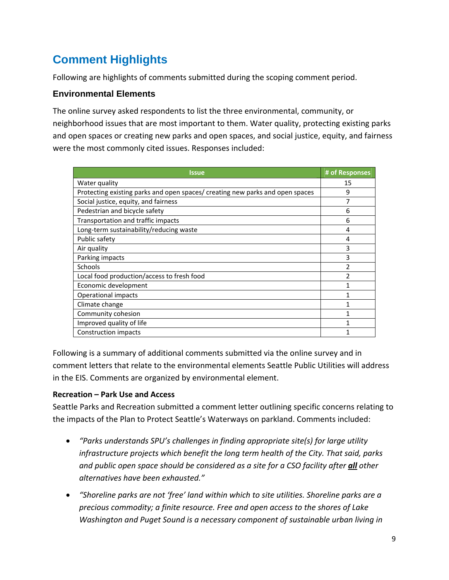# **Comment Highlights**

Following are highlights of comments submitted during the scoping comment period.

#### **Environmental Elements**

The online survey asked respondents to list the three environmental, community, or neighborhood issues that are most important to them. Water quality, protecting existing parks and open spaces or creating new parks and open spaces, and social justice, equity, and fairness were the most commonly cited issues. Responses included:

| Issue                                                                         | # of Responses |
|-------------------------------------------------------------------------------|----------------|
| Water quality                                                                 | 15             |
| Protecting existing parks and open spaces/ creating new parks and open spaces | 9              |
| Social justice, equity, and fairness                                          | 7              |
| Pedestrian and bicycle safety                                                 | 6              |
| Transportation and traffic impacts                                            | 6              |
| Long-term sustainability/reducing waste                                       | 4              |
| Public safety                                                                 | 4              |
| Air quality                                                                   | 3              |
| Parking impacts                                                               | 3              |
| Schools                                                                       | 2              |
| Local food production/access to fresh food                                    | 2              |
| Economic development                                                          |                |
| Operational impacts                                                           |                |
| Climate change                                                                |                |
| Community cohesion                                                            |                |
| Improved quality of life                                                      |                |
| Construction impacts                                                          |                |

Following is a summary of additional comments submitted via the online survey and in comment letters that relate to the environmental elements Seattle Public Utilities will address in the EIS. Comments are organized by environmental element.

#### **Recreation – Park Use and Access**

Seattle Parks and Recreation submitted a comment letter outlining specific concerns relating to the impacts of the Plan to Protect Seattle's Waterways on parkland. Comments included:

- *"Parks understands SPU's challenges in finding appropriate site(s) for large utility infrastructure projects which benefit the long term health of the City. That said, parks and public open space should be considered as a site for a CSO facility after all other alternatives have been exhausted."*
- *"Shoreline parks are not 'free' land within which to site utilities. Shoreline parks are a precious commodity; a finite resource. Free and open access to the shores of Lake Washington and Puget Sound is a necessary component of sustainable urban living in*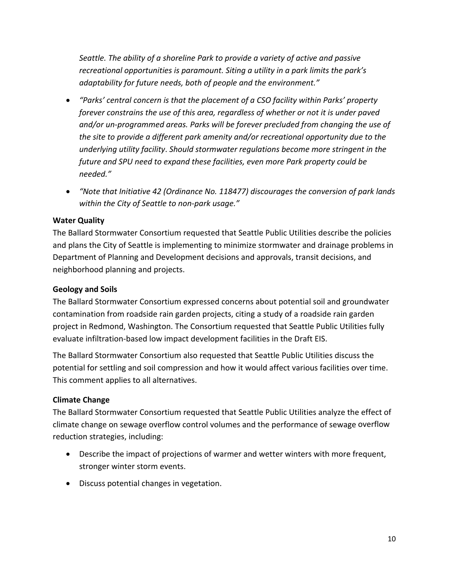*Seattle. The ability of a shoreline Park to provide a variety of active and passive recreational opportunities is paramount. Siting a utility in a park limits the park's adaptability for future needs, both of people and the environment."*

- *"Parks' central concern is that the placement of a CSO facility within Parks' property forever constrains the use of this area, regardless of whether or not it is under paved and/or un‐programmed areas. Parks will be forever precluded from changing the use of the site to provide a different park amenity and/or recreational opportunity due to the underlying utility facility*. *Should stormwater regulations become more stringent in the future and SPU need to expand these facilities, even more Park property could be needed."*
- *"Note that Initiative 42 (Ordinance No. 118477) discourages the conversion of park lands within the City of Seattle to non‐park usage."*

#### **Water Quality**

The Ballard Stormwater Consortium requested that Seattle Public Utilities describe the policies and plans the City of Seattle is implementing to minimize stormwater and drainage problems in Department of Planning and Development decisions and approvals, transit decisions, and neighborhood planning and projects.

#### **Geology and Soils**

The Ballard Stormwater Consortium expressed concerns about potential soil and groundwater contamination from roadside rain garden projects, citing a study of a roadside rain garden project in Redmond, Washington. The Consortium requested that Seattle Public Utilities fully evaluate infiltration‐based low impact development facilities in the Draft EIS.

The Ballard Stormwater Consortium also requested that Seattle Public Utilities discuss the potential for settling and soil compression and how it would affect various facilities over time. This comment applies to all alternatives.

#### **Climate Change**

The Ballard Stormwater Consortium requested that Seattle Public Utilities analyze the effect of climate change on sewage overflow control volumes and the performance of sewage overflow reduction strategies, including:

- Describe the impact of projections of warmer and wetter winters with more frequent, stronger winter storm events.
- Discuss potential changes in vegetation.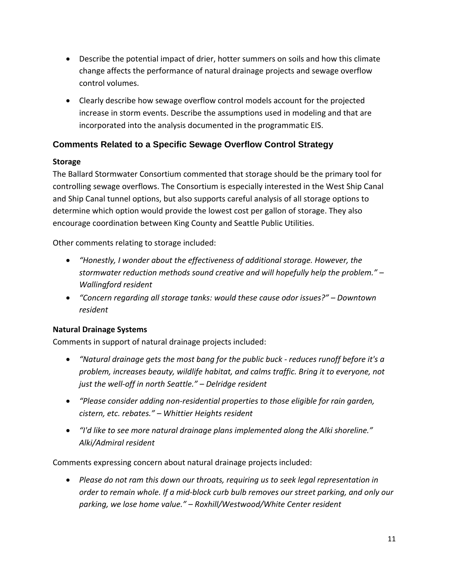- Describe the potential impact of drier, hotter summers on soils and how this climate change affects the performance of natural drainage projects and sewage overflow control volumes.
- Clearly describe how sewage overflow control models account for the projected increase in storm events. Describe the assumptions used in modeling and that are incorporated into the analysis documented in the programmatic EIS.

#### **Comments Related to a Specific Sewage Overflow Control Strategy**

#### **Storage**

The Ballard Stormwater Consortium commented that storage should be the primary tool for controlling sewage overflows. The Consortium is especially interested in the West Ship Canal and Ship Canal tunnel options, but also supports careful analysis of all storage options to determine which option would provide the lowest cost per gallon of storage. They also encourage coordination between King County and Seattle Public Utilities.

Other comments relating to storage included:

- *"Honestly, I wonder about the effectiveness of additional storage. However, the stormwater reduction methods sound creative and will hopefully help the problem." – Wallingford resident*
- *"Concern regarding all storage tanks: would these cause odor issues?" – Downtown resident*

#### **Natural Drainage Systems**

Comments in support of natural drainage projects included:

- *"Natural drainage gets the most bang for the public buck ‐ reduces runoff before it's a problem, increases beauty, wildlife habitat, and calms traffic. Bring it to everyone, not just the well‐off in north Seattle." – Delridge resident*
- *"Please consider adding non‐residential properties to those eligible for rain garden, cistern, etc. rebates." – Whittier Heights resident*
- *"I'd like to see more natural drainage plans implemented along the Alki shoreline." Alki/Admiral resident*

Comments expressing concern about natural drainage projects included:

 *Please do not ram this down our throats, requiring us to seek legal representation in order to remain whole. If a mid‐block curb bulb removes our street parking, and only our parking, we lose home value." – Roxhill/Westwood/White Center resident*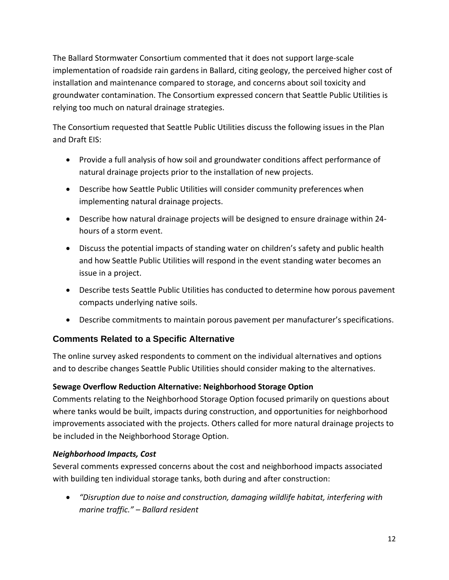The Ballard Stormwater Consortium commented that it does not support large‐scale implementation of roadside rain gardens in Ballard, citing geology, the perceived higher cost of installation and maintenance compared to storage, and concerns about soil toxicity and groundwater contamination. The Consortium expressed concern that Seattle Public Utilities is relying too much on natural drainage strategies.

The Consortium requested that Seattle Public Utilities discuss the following issues in the Plan and Draft EIS:

- Provide a full analysis of how soil and groundwater conditions affect performance of natural drainage projects prior to the installation of new projects.
- Describe how Seattle Public Utilities will consider community preferences when implementing natural drainage projects.
- Describe how natural drainage projects will be designed to ensure drainage within 24‐ hours of a storm event.
- Discuss the potential impacts of standing water on children's safety and public health and how Seattle Public Utilities will respond in the event standing water becomes an issue in a project.
- Describe tests Seattle Public Utilities has conducted to determine how porous pavement compacts underlying native soils.
- Describe commitments to maintain porous pavement per manufacturer's specifications.

#### **Comments Related to a Specific Alternative**

The online survey asked respondents to comment on the individual alternatives and options and to describe changes Seattle Public Utilities should consider making to the alternatives.

#### **Sewage Overflow Reduction Alternative: Neighborhood Storage Option**

Comments relating to the Neighborhood Storage Option focused primarily on questions about where tanks would be built, impacts during construction, and opportunities for neighborhood improvements associated with the projects. Others called for more natural drainage projects to be included in the Neighborhood Storage Option.

#### *Neighborhood Impacts, Cost*

Several comments expressed concerns about the cost and neighborhood impacts associated with building ten individual storage tanks, both during and after construction:

 *"Disruption due to noise and construction, damaging wildlife habitat, interfering with marine traffic." – Ballard resident*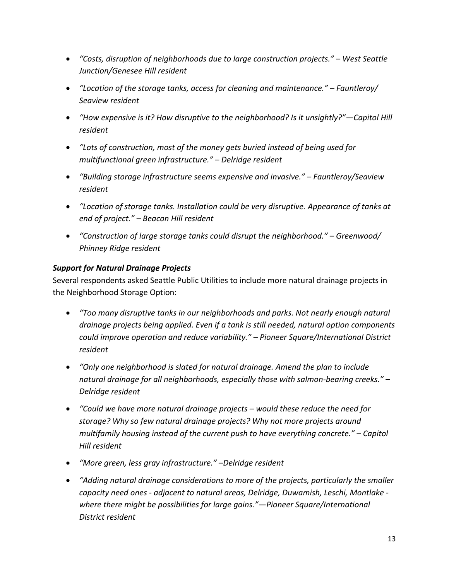- *"Costs, disruption of neighborhoods due to large construction projects." – West Seattle Junction/Genesee Hill resident*
- *"Location of the storage tanks, access for cleaning and maintenance." – Fauntleroy/ Seaview resident*
- *"How expensive is it? How disruptive to the neighborhood? Is it unsightly?"—Capitol Hill resident*
- *"Lots of construction, most of the money gets buried instead of being used for multifunctional green infrastructure." – Delridge resident*
- *"Building storage infrastructure seems expensive and invasive." – Fauntleroy/Seaview resident*
- *"Location of storage tanks. Installation could be very disruptive. Appearance of tanks at end of project." – Beacon Hill resident*
- *"Construction of large storage tanks could disrupt the neighborhood." – Greenwood/ Phinney Ridge resident*

#### *Support for Natural Drainage Projects*

Several respondents asked Seattle Public Utilities to include more natural drainage projects in the Neighborhood Storage Option:

- *"Too many disruptive tanks in our neighborhoods and parks. Not nearly enough natural drainage projects being applied. Even if a tank is still needed, natural option components could improve operation and reduce variability." – Pioneer Square/International District resident*
- *"Only one neighborhood is slated for natural drainage. Amend the plan to include natural drainage for all neighborhoods, especially those with salmon‐bearing creeks." – Delridge resident*
- *"Could we have more natural drainage projects – would these reduce the need for storage? Why so few natural drainage projects? Why not more projects around multifamily housing instead of the current push to have everything concrete." – Capitol Hill resident*
- *"More green, less gray infrastructure." –Delridge resident*
- *"Adding natural drainage considerations to more of the projects, particularly the smaller capacity need ones ‐ adjacent to natural areas, Delridge, Duwamish, Leschi, Montlake ‐ where there might be possibilities for large gains."—Pioneer Square/International District resident*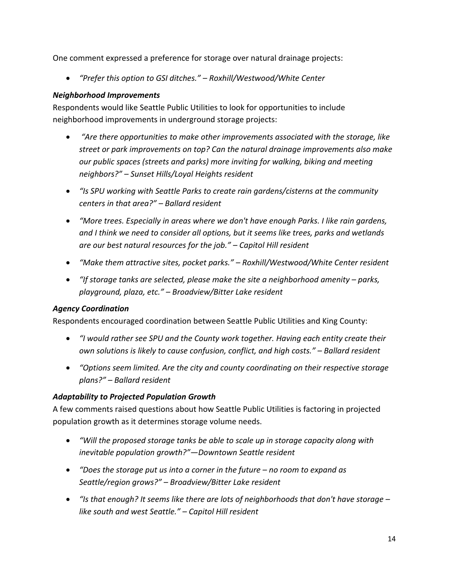One comment expressed a preference for storage over natural drainage projects:

*"Prefer this option to GSI ditches." – Roxhill/Westwood/White Center* 

#### *Neighborhood Improvements*

Respondents would like Seattle Public Utilities to look for opportunities to include neighborhood improvements in underground storage projects:

- *"Are there opportunities to make other improvements associated with the storage, like street or park improvements on top? Can the natural drainage improvements also make our public spaces (streets and parks) more inviting for walking, biking and meeting neighbors?" – Sunset Hills/Loyal Heights resident*
- *"Is SPU working with Seattle Parks to create rain gardens/cisterns at the community centers in that area?" – Ballard resident*
- *"More trees. Especially in areas where we don't have enough Parks. I like rain gardens, and I think we need to consider all options, but it seems like trees, parks and wetlands are our best natural resources for the job." – Capitol Hill resident*
- *"Make them attractive sites, pocket parks." – Roxhill/Westwood/White Center resident*
- *"If storage tanks are selected, please make the site a neighborhood amenity – parks, playground, plaza, etc." – Broadview/Bitter Lake resident*

#### *Agency Coordination*

Respondents encouraged coordination between Seattle Public Utilities and King County:

- *"I would rather see SPU and the County work together. Having each entity create their own solutions is likely to cause confusion, conflict, and high costs." – Ballard resident*
- *"Options seem limited. Are the city and county coordinating on their respective storage plans?" – Ballard resident*

#### *Adaptability to Projected Population Growth*

A few comments raised questions about how Seattle Public Utilities is factoring in projected population growth as it determines storage volume needs.

- *"Will the proposed storage tanks be able to scale up in storage capacity along with inevitable population growth?"—Downtown Seattle resident*
- *"Does the storage put us into a corner in the future – no room to expand as Seattle/region grows?" – Broadview/Bitter Lake resident*
- *"Is that enough? It seems like there are lots of neighborhoods that don't have storage – like south and west Seattle." – Capitol Hill resident*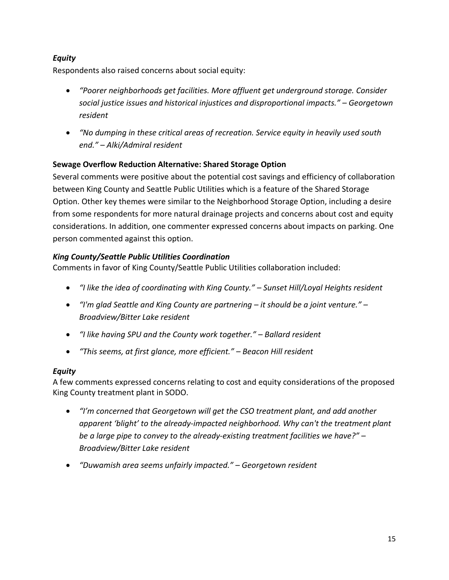#### *Equity*

Respondents also raised concerns about social equity:

- *"Poorer neighborhoods get facilities. More affluent get underground storage. Consider social justice issues and historical injustices and disproportional impacts." – Georgetown resident*
- *"No dumping in these critical areas of recreation. Service equity in heavily used south end." – Alki/Admiral resident*

#### **Sewage Overflow Reduction Alternative: Shared Storage Option**

Several comments were positive about the potential cost savings and efficiency of collaboration between King County and Seattle Public Utilities which is a feature of the Shared Storage Option. Other key themes were similar to the Neighborhood Storage Option, including a desire from some respondents for more natural drainage projects and concerns about cost and equity considerations. In addition, one commenter expressed concerns about impacts on parking. One person commented against this option.

#### *King County/Seattle Public Utilities Coordination*

Comments in favor of King County/Seattle Public Utilities collaboration included:

- *"I like the idea of coordinating with King County." – Sunset Hill/Loyal Heights resident*
- *"I'm glad Seattle and King County are partnering – it should be a joint venture." – Broadview/Bitter Lake resident*
- *"I like having SPU and the County work together." – Ballard resident*
- *"This seems, at first glance, more efficient." – Beacon Hill resident*

#### *Equity*

A few comments expressed concerns relating to cost and equity considerations of the proposed King County treatment plant in SODO.

- *"I'm concerned that Georgetown will get the CSO treatment plant, and add another apparent 'blight' to the already‐impacted neighborhood. Why can't the treatment plant be a large pipe to convey to the already‐existing treatment facilities we have?" – Broadview/Bitter Lake resident*
- *"Duwamish area seems unfairly impacted." – Georgetown resident*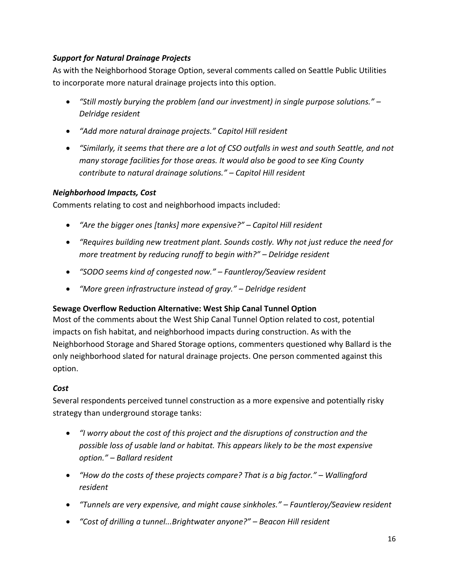#### *Support for Natural Drainage Projects*

As with the Neighborhood Storage Option, several comments called on Seattle Public Utilities to incorporate more natural drainage projects into this option.

- *"Still mostly burying the problem (and our investment) in single purpose solutions." – Delridge resident*
- *"Add more natural drainage projects." Capitol Hill resident*
- *"Similarly, it seems that there are a lot of CSO outfalls in west and south Seattle, and not many storage facilities for those areas. It would also be good to see King County contribute to natural drainage solutions." – Capitol Hill resident*

#### *Neighborhood Impacts, Cost*

Comments relating to cost and neighborhood impacts included:

- *"Are the bigger ones [tanks] more expensive?" – Capitol Hill resident*
- *"Requires building new treatment plant. Sounds costly. Why not just reduce the need for more treatment by reducing runoff to begin with?" – Delridge resident*
- *"SODO seems kind of congested now." – Fauntleroy/Seaview resident*
- *"More green infrastructure instead of gray." – Delridge resident*

#### **Sewage Overflow Reduction Alternative: West Ship Canal Tunnel Option**

Most of the comments about the West Ship Canal Tunnel Option related to cost, potential impacts on fish habitat, and neighborhood impacts during construction. As with the Neighborhood Storage and Shared Storage options, commenters questioned why Ballard is the only neighborhood slated for natural drainage projects. One person commented against this option.

#### *Cost*

Several respondents perceived tunnel construction as a more expensive and potentially risky strategy than underground storage tanks:

- *"I worry about the cost of this project and the disruptions of construction and the possible loss of usable land or habitat. This appears likely to be the most expensive option." – Ballard resident*
- *"How do the costs of these projects compare? That is a big factor." – Wallingford resident*
- *"Tunnels are very expensive, and might cause sinkholes." – Fauntleroy/Seaview resident*
- *"Cost of drilling a tunnel...Brightwater anyone?" – Beacon Hill resident*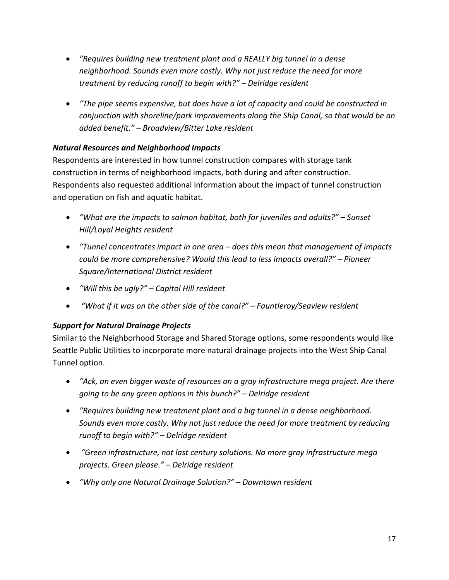- *"Requires building new treatment plant and a REALLY big tunnel in a dense neighborhood. Sounds even more costly. Why not just reduce the need for more treatment by reducing runoff to begin with?" – Delridge resident*
- *"The pipe seems expensive, but does have a lot of capacity and could be constructed in conjunction with shoreline/park improvements along the Ship Canal, so that would be an added benefit." – Broadview/Bitter Lake resident*

#### *Natural Resources and Neighborhood Impacts*

Respondents are interested in how tunnel construction compares with storage tank construction in terms of neighborhood impacts, both during and after construction. Respondents also requested additional information about the impact of tunnel construction and operation on fish and aquatic habitat.

- *"What are the impacts to salmon habitat, both for juveniles and adults?" – Sunset Hill/Loyal Heights resident*
- *"Tunnel concentrates impact in one area – does this mean that management of impacts could be more comprehensive? Would this lead to less impacts overall?" – Pioneer Square/International District resident*
- *"Will this be ugly?" – Capitol Hill resident*
- *"What if it was on the other side of the canal?" – Fauntleroy/Seaview resident*

#### *Support for Natural Drainage Projects*

Similar to the Neighborhood Storage and Shared Storage options, some respondents would like Seattle Public Utilities to incorporate more natural drainage projects into the West Ship Canal Tunnel option.

- *"Ack, an even bigger waste of resources on a gray infrastructure mega project. Are there going to be any green options in this bunch?" – Delridge resident*
- *"Requires building new treatment plant and a big tunnel in a dense neighborhood. Sounds even more costly. Why not just reduce the need for more treatment by reducing runoff to begin with?" – Delridge resident*
- *"Green infrastructure, not last century solutions. No more gray infrastructure mega projects. Green please." – Delridge resident*
- *"Why only one Natural Drainage Solution?" – Downtown resident*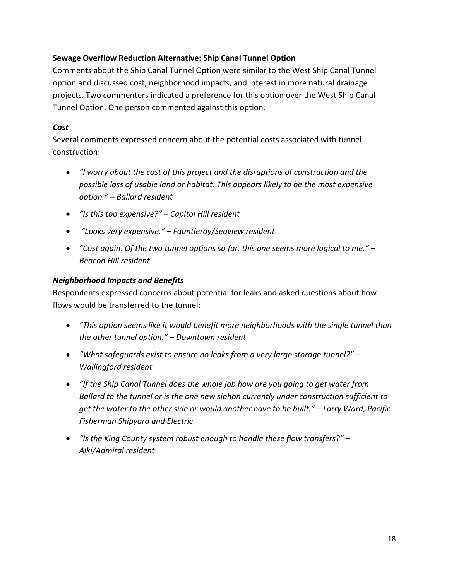#### **Sewage Overflow Reduction Alternative: Ship Canal Tunnel Option**

Comments about the Ship Canal Tunnel Option were similar to the West Ship Canal Tunnel option and discussed cost, neighborhood impacts, and interest in more natural drainage projects. Two commenters indicated a preference for this option over the West Ship Canal Tunnel Option. One person commented against this option.

#### *Cost*

Several comments expressed concern about the potential costs associated with tunnel construction:

- *"I worry about the cost of this project and the disruptions of construction and the possible loss of usable land or habitat. This appears likely to be the most expensive option." – Ballard resident*
- *"Is this too expensive?" – Capitol Hill resident*
- *"Looks very expensive." – Fauntleroy/Seaview resident*
- *"Cost again. Of the two tunnel options so far, this one seems more logical to me." – Beacon Hill resident*

#### *Neighborhood Impacts and Benefits*

Respondents expressed concerns about potential for leaks and asked questions about how flows would be transferred to the tunnel:

- *"This option seems like it would benefit more neighborhoods with the single tunnel than the other tunnel option." – Downtown resident*
- *"What safeguards exist to ensure no leaks from a very large storage tunnel?"— Wallingford resident*
- *"If the Ship Canal Tunnel does the whole job how are you going to get water from Ballard to the tunnel or is the one new siphon currently under construction sufficient to get the water to the other side or would another have to be built." – Larry Ward, Pacific Fisherman Shipyard and Electric*
- *"Is the King County system robust enough to handle these flow transfers?" – Alki/Admiral resident*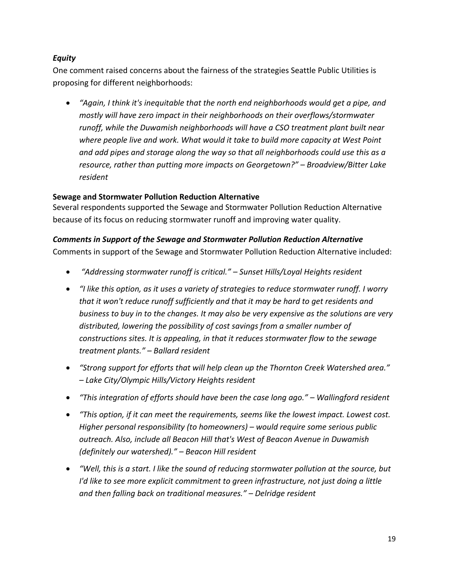#### *Equity*

One comment raised concerns about the fairness of the strategies Seattle Public Utilities is proposing for different neighborhoods:

 *"Again, I think it's inequitable that the north end neighborhoods would get a pipe, and mostly will have zero impact in their neighborhoods on their overflows/stormwater runoff, while the Duwamish neighborhoods will have a CSO treatment plant built near where people live and work. What would it take to build more capacity at West Point and add pipes and storage along the way so that all neighborhoods could use this as a resource, rather than putting more impacts on Georgetown?" – Broadview/Bitter Lake resident*

#### **Sewage and Stormwater Pollution Reduction Alternative**

Several respondents supported the Sewage and Stormwater Pollution Reduction Alternative because of its focus on reducing stormwater runoff and improving water quality.

#### *Comments in Support of the Sewage and Stormwater Pollution Reduction Alternative*

Comments in support of the Sewage and Stormwater Pollution Reduction Alternative included:

- *"Addressing stormwater runoff is critical." – Sunset Hills/Loyal Heights resident*
- *"I like this option, as it uses a variety of strategies to reduce stormwater runoff. I worry that it won't reduce runoff sufficiently and that it may be hard to get residents and business to buy in to the changes. It may also be very expensive as the solutions are very distributed, lowering the possibility of cost savings from a smaller number of constructions sites. It is appealing, in that it reduces stormwater flow to the sewage treatment plants." – Ballard resident*
- *"Strong support for efforts that will help clean up the Thornton Creek Watershed area." – Lake City/Olympic Hills/Victory Heights resident*
- *"This integration of efforts should have been the case long ago." – Wallingford resident*
- *"This option, if it can meet the requirements, seems like the lowest impact. Lowest cost. Higher personal responsibility (to homeowners) – would require some serious public outreach. Also, include all Beacon Hill that's West of Beacon Avenue in Duwamish (definitely our watershed)." – Beacon Hill resident*
- *"Well, this is a start. I like the sound of reducing stormwater pollution at the source, but I'd like to see more explicit commitment to green infrastructure, not just doing a little and then falling back on traditional measures." – Delridge resident*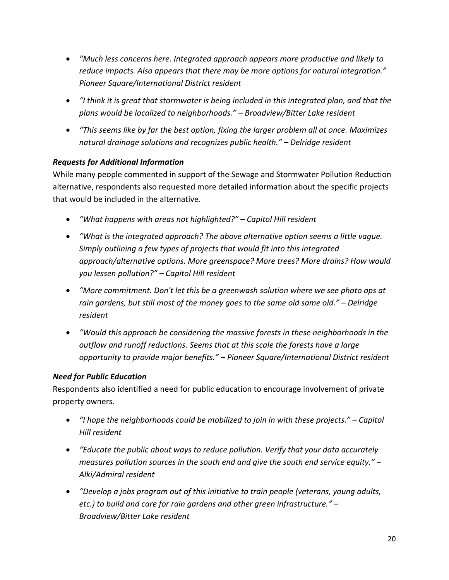- *"Much less concerns here. Integrated approach appears more productive and likely to reduce impacts. Also appears that there may be more options for natural integration." Pioneer Square/International District resident*
- *"I think it is great that stormwater is being included in this integrated plan, and that the plans would be localized to neighborhoods." – Broadview/Bitter Lake resident*
- *"This seems like by far the best option, fixing the larger problem all at once. Maximizes natural drainage solutions and recognizes public health." – Delridge resident*

#### *Requests for Additional Information*

While many people commented in support of the Sewage and Stormwater Pollution Reduction alternative, respondents also requested more detailed information about the specific projects that would be included in the alternative.

- *"What happens with areas not highlighted?" – Capitol Hill resident*
- *"What is the integrated approach? The above alternative option seems a little vague. Simply outlining a few types of projects that would fit into this integrated approach/alternative options. More greenspace? More trees? More drains? How would you lessen pollution?" – Capitol Hill resident*
- *"More commitment. Don't let this be a greenwash solution where we see photo ops at rain gardens, but still most of the money goes to the same old same old." – Delridge resident*
- *"Would this approach be considering the massive forests in these neighborhoods in the outflow and runoff reductions. Seems that at this scale the forests have a large opportunity to provide major benefits." – Pioneer Square/International District resident*

#### *Need for Public Education*

Respondents also identified a need for public education to encourage involvement of private property owners.

- *"I hope the neighborhoods could be mobilized to join in with these projects." – Capitol Hill resident*
- *"Educate the public about ways to reduce pollution. Verify that your data accurately measures pollution sources in the south end and give the south end service equity." – Alki/Admiral resident*
- *"Develop a jobs program out of this initiative to train people (veterans, young adults, etc.) to build and care for rain gardens and other green infrastructure." – Broadview/Bitter Lake resident*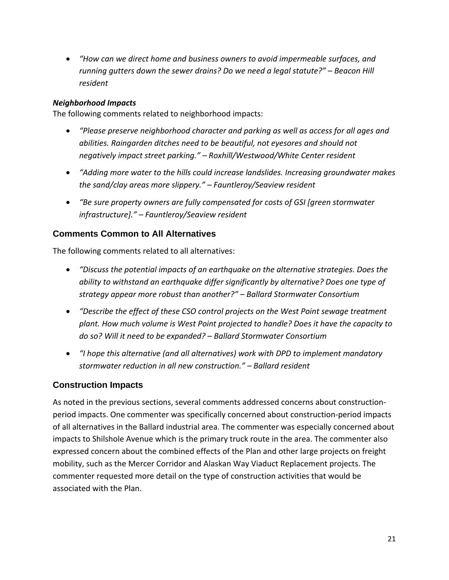*"How can we direct home and business owners to avoid impermeable surfaces, and running gutters down the sewer drains? Do we need a legal statute?" – Beacon Hill resident* 

#### *Neighborhood Impacts*

The following comments related to neighborhood impacts:

- *"Please preserve neighborhood character and parking as well as access for all ages and abilities. Raingarden ditches need to be beautiful, not eyesores and should not negatively impact street parking." – Roxhill/Westwood/White Center resident*
- *"Adding more water to the hills could increase landslides. Increasing groundwater makes the sand/clay areas more slippery." – Fauntleroy/Seaview resident*
- *"Be sure property owners are fully compensated for costs of GSI [green stormwater infrastructure]." – Fauntleroy/Seaview resident*

#### **Comments Common to All Alternatives**

The following comments related to all alternatives:

- *"Discuss the potential impacts of an earthquake on the alternative strategies. Does the ability to withstand an earthquake differ significantly by alternative? Does one type of strategy appear more robust than another?" – Ballard Stormwater Consortium*
- *"Describe the effect of these CSO control projects on the West Point sewage treatment plant. How much volume is West Point projected to handle? Does it have the capacity to do so? Will it need to be expanded? – Ballard Stormwater Consortium*
- *"I hope this alternative (and all alternatives) work with DPD to implement mandatory stormwater reduction in all new construction." – Ballard resident*

#### **Construction Impacts**

As noted in the previous sections, several comments addressed concerns about construction‐ period impacts. One commenter was specifically concerned about construction‐period impacts of all alternatives in the Ballard industrial area. The commenter was especially concerned about impacts to Shilshole Avenue which is the primary truck route in the area. The commenter also expressed concern about the combined effects of the Plan and other large projects on freight mobility, such as the Mercer Corridor and Alaskan Way Viaduct Replacement projects. The commenter requested more detail on the type of construction activities that would be associated with the Plan.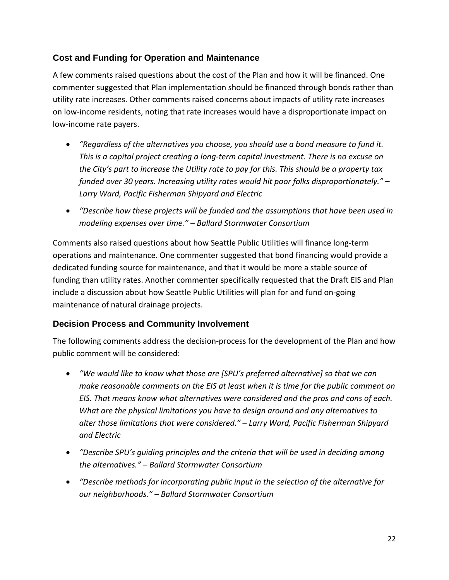#### **Cost and Funding for Operation and Maintenance**

A few comments raised questions about the cost of the Plan and how it will be financed. One commenter suggested that Plan implementation should be financed through bonds rather than utility rate increases. Other comments raised concerns about impacts of utility rate increases on low‐income residents, noting that rate increases would have a disproportionate impact on low‐income rate payers.

- *"Regardless of the alternatives you choose, you should use a bond measure to fund it. This is a capital project creating a long‐term capital investment. There is no excuse on the City's part to increase the Utility rate to pay for this. This should be a property tax funded over 30 years. Increasing utility rates would hit poor folks disproportionately." – Larry Ward, Pacific Fisherman Shipyard and Electric*
- *"Describe how these projects will be funded and the assumptions that have been used in modeling expenses over time." – Ballard Stormwater Consortium*

Comments also raised questions about how Seattle Public Utilities will finance long‐term operations and maintenance. One commenter suggested that bond financing would provide a dedicated funding source for maintenance, and that it would be more a stable source of funding than utility rates. Another commenter specifically requested that the Draft EIS and Plan include a discussion about how Seattle Public Utilities will plan for and fund on‐going maintenance of natural drainage projects.

#### **Decision Process and Community Involvement**

The following comments address the decision‐process for the development of the Plan and how public comment will be considered:

- *"We would like to know what those are [SPU's preferred alternative] so that we can make reasonable comments on the EIS at least when it is time for the public comment on EIS. That means know what alternatives were considered and the pros and cons of each. What are the physical limitations you have to design around and any alternatives to alter those limitations that were considered." – Larry Ward, Pacific Fisherman Shipyard and Electric*
- *"Describe SPU's guiding principles and the criteria that will be used in deciding among the alternatives." – Ballard Stormwater Consortium*
- *"Describe methods for incorporating public input in the selection of the alternative for our neighborhoods." – Ballard Stormwater Consortium*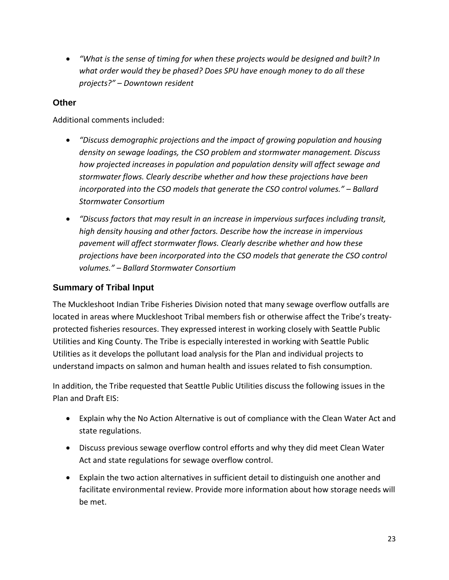*"What is the sense of timing for when these projects would be designed and built? In what order would they be phased? Does SPU have enough money to do all these projects?" – Downtown resident* 

#### **Other**

Additional comments included:

- *"Discuss demographic projections and the impact of growing population and housing density on sewage loadings, the CSO problem and stormwater management. Discuss how projected increases in population and population density will affect sewage and stormwater flows. Clearly describe whether and how these projections have been incorporated into the CSO models that generate the CSO control volumes." – Ballard Stormwater Consortium*
- *"Discuss factors that may result in an increase in impervious surfaces including transit, high density housing and other factors. Describe how the increase in impervious pavement will affect stormwater flows. Clearly describe whether and how these projections have been incorporated into the CSO models that generate the CSO control volumes." – Ballard Stormwater Consortium*

#### **Summary of Tribal Input**

The Muckleshoot Indian Tribe Fisheries Division noted that many sewage overflow outfalls are located in areas where Muckleshoot Tribal members fish or otherwise affect the Tribe's treaty‐ protected fisheries resources. They expressed interest in working closely with Seattle Public Utilities and King County. The Tribe is especially interested in working with Seattle Public Utilities as it develops the pollutant load analysis for the Plan and individual projects to understand impacts on salmon and human health and issues related to fish consumption.

In addition, the Tribe requested that Seattle Public Utilities discuss the following issues in the Plan and Draft EIS:

- Explain why the No Action Alternative is out of compliance with the Clean Water Act and state regulations.
- Discuss previous sewage overflow control efforts and why they did meet Clean Water Act and state regulations for sewage overflow control.
- Explain the two action alternatives in sufficient detail to distinguish one another and facilitate environmental review. Provide more information about how storage needs will be met.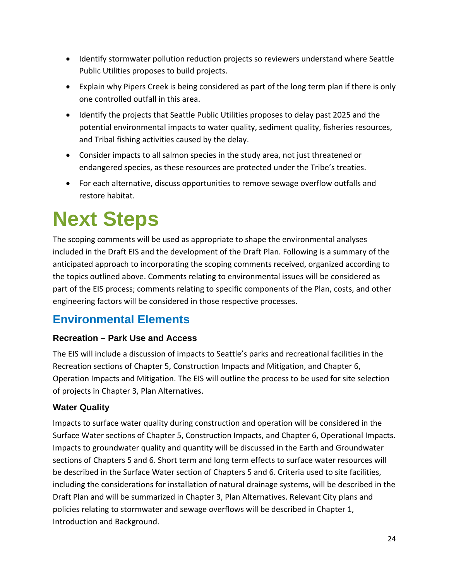- Identify stormwater pollution reduction projects so reviewers understand where Seattle Public Utilities proposes to build projects.
- Explain why Pipers Creek is being considered as part of the long term plan if there is only one controlled outfall in this area.
- Identify the projects that Seattle Public Utilities proposes to delay past 2025 and the potential environmental impacts to water quality, sediment quality, fisheries resources, and Tribal fishing activities caused by the delay.
- Consider impacts to all salmon species in the study area, not just threatened or endangered species, as these resources are protected under the Tribe's treaties.
- For each alternative, discuss opportunities to remove sewage overflow outfalls and restore habitat.

# **Next Steps**

The scoping comments will be used as appropriate to shape the environmental analyses included in the Draft EIS and the development of the Draft Plan. Following is a summary of the anticipated approach to incorporating the scoping comments received, organized according to the topics outlined above. Comments relating to environmental issues will be considered as part of the EIS process; comments relating to specific components of the Plan, costs, and other engineering factors will be considered in those respective processes.

# **Environmental Elements**

#### **Recreation – Park Use and Access**

The EIS will include a discussion of impacts to Seattle's parks and recreational facilities in the Recreation sections of Chapter 5, Construction Impacts and Mitigation, and Chapter 6, Operation Impacts and Mitigation. The EIS will outline the process to be used for site selection of projects in Chapter 3, Plan Alternatives.

#### **Water Quality**

Impacts to surface water quality during construction and operation will be considered in the Surface Water sections of Chapter 5, Construction Impacts, and Chapter 6, Operational Impacts. Impacts to groundwater quality and quantity will be discussed in the Earth and Groundwater sections of Chapters 5 and 6. Short term and long term effects to surface water resources will be described in the Surface Water section of Chapters 5 and 6. Criteria used to site facilities, including the considerations for installation of natural drainage systems, will be described in the Draft Plan and will be summarized in Chapter 3, Plan Alternatives. Relevant City plans and policies relating to stormwater and sewage overflows will be described in Chapter 1, Introduction and Background.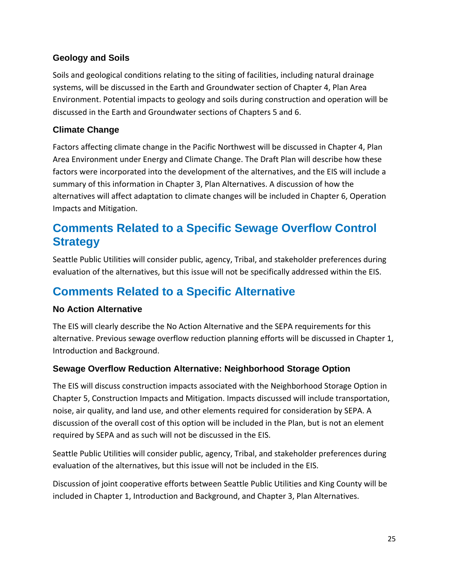#### **Geology and Soils**

Soils and geological conditions relating to the siting of facilities, including natural drainage systems, will be discussed in the Earth and Groundwater section of Chapter 4, Plan Area Environment. Potential impacts to geology and soils during construction and operation will be discussed in the Earth and Groundwater sections of Chapters 5 and 6.

#### **Climate Change**

Factors affecting climate change in the Pacific Northwest will be discussed in Chapter 4, Plan Area Environment under Energy and Climate Change. The Draft Plan will describe how these factors were incorporated into the development of the alternatives, and the EIS will include a summary of this information in Chapter 3, Plan Alternatives. A discussion of how the alternatives will affect adaptation to climate changes will be included in Chapter 6, Operation Impacts and Mitigation.

### **Comments Related to a Specific Sewage Overflow Control Strategy**

Seattle Public Utilities will consider public, agency, Tribal, and stakeholder preferences during evaluation of the alternatives, but this issue will not be specifically addressed within the EIS.

### **Comments Related to a Specific Alternative**

#### **No Action Alternative**

The EIS will clearly describe the No Action Alternative and the SEPA requirements for this alternative. Previous sewage overflow reduction planning efforts will be discussed in Chapter 1, Introduction and Background.

#### **Sewage Overflow Reduction Alternative: Neighborhood Storage Option**

The EIS will discuss construction impacts associated with the Neighborhood Storage Option in Chapter 5, Construction Impacts and Mitigation. Impacts discussed will include transportation, noise, air quality, and land use, and other elements required for consideration by SEPA. A discussion of the overall cost of this option will be included in the Plan, but is not an element required by SEPA and as such will not be discussed in the EIS.

Seattle Public Utilities will consider public, agency, Tribal, and stakeholder preferences during evaluation of the alternatives, but this issue will not be included in the EIS.

Discussion of joint cooperative efforts between Seattle Public Utilities and King County will be included in Chapter 1, Introduction and Background, and Chapter 3, Plan Alternatives.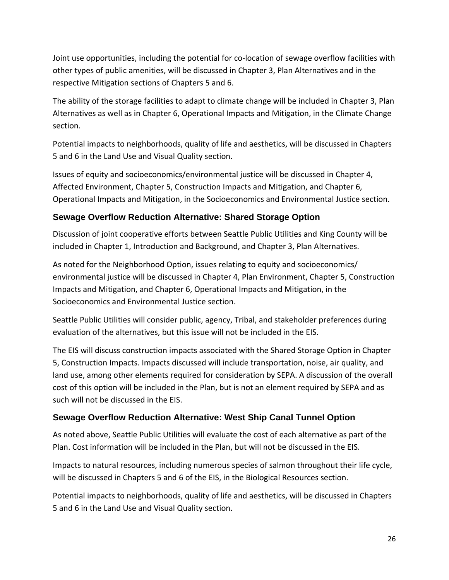Joint use opportunities, including the potential for co‐location of sewage overflow facilities with other types of public amenities, will be discussed in Chapter 3, Plan Alternatives and in the respective Mitigation sections of Chapters 5 and 6.

The ability of the storage facilities to adapt to climate change will be included in Chapter 3, Plan Alternatives as well as in Chapter 6, Operational Impacts and Mitigation, in the Climate Change section.

Potential impacts to neighborhoods, quality of life and aesthetics, will be discussed in Chapters 5 and 6 in the Land Use and Visual Quality section.

Issues of equity and socioeconomics/environmental justice will be discussed in Chapter 4, Affected Environment, Chapter 5, Construction Impacts and Mitigation, and Chapter 6, Operational Impacts and Mitigation, in the Socioeconomics and Environmental Justice section.

#### **Sewage Overflow Reduction Alternative: Shared Storage Option**

Discussion of joint cooperative efforts between Seattle Public Utilities and King County will be included in Chapter 1, Introduction and Background, and Chapter 3, Plan Alternatives.

As noted for the Neighborhood Option, issues relating to equity and socioeconomics/ environmental justice will be discussed in Chapter 4, Plan Environment, Chapter 5, Construction Impacts and Mitigation, and Chapter 6, Operational Impacts and Mitigation, in the Socioeconomics and Environmental Justice section.

Seattle Public Utilities will consider public, agency, Tribal, and stakeholder preferences during evaluation of the alternatives, but this issue will not be included in the EIS.

The EIS will discuss construction impacts associated with the Shared Storage Option in Chapter 5, Construction Impacts. Impacts discussed will include transportation, noise, air quality, and land use, among other elements required for consideration by SEPA. A discussion of the overall cost of this option will be included in the Plan, but is not an element required by SEPA and as such will not be discussed in the EIS.

#### **Sewage Overflow Reduction Alternative: West Ship Canal Tunnel Option**

As noted above, Seattle Public Utilities will evaluate the cost of each alternative as part of the Plan. Cost information will be included in the Plan, but will not be discussed in the EIS.

Impacts to natural resources, including numerous species of salmon throughout their life cycle, will be discussed in Chapters 5 and 6 of the EIS, in the Biological Resources section.

Potential impacts to neighborhoods, quality of life and aesthetics, will be discussed in Chapters 5 and 6 in the Land Use and Visual Quality section.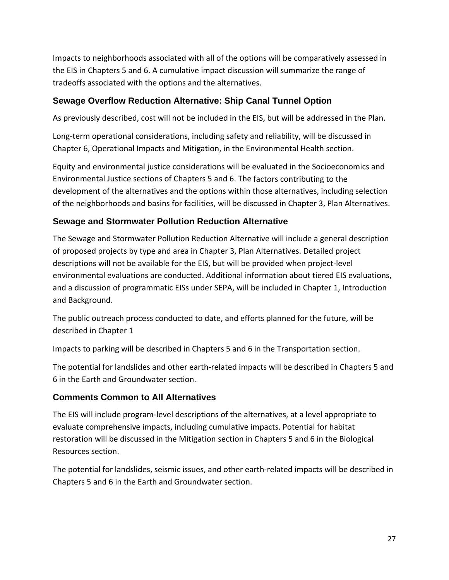Impacts to neighborhoods associated with all of the options will be comparatively assessed in the EIS in Chapters 5 and 6. A cumulative impact discussion will summarize the range of tradeoffs associated with the options and the alternatives.

#### **Sewage Overflow Reduction Alternative: Ship Canal Tunnel Option**

As previously described, cost will not be included in the EIS, but will be addressed in the Plan.

Long-term operational considerations, including safety and reliability, will be discussed in Chapter 6, Operational Impacts and Mitigation, in the Environmental Health section.

Equity and environmental justice considerations will be evaluated in the Socioeconomics and Environmental Justice sections of Chapters 5 and 6. The factors contributing to the development of the alternatives and the options within those alternatives, including selection of the neighborhoods and basins for facilities, will be discussed in Chapter 3, Plan Alternatives.

#### **Sewage and Stormwater Pollution Reduction Alternative**

The Sewage and Stormwater Pollution Reduction Alternative will include a general description of proposed projects by type and area in Chapter 3, Plan Alternatives. Detailed project descriptions will not be available for the EIS, but will be provided when project‐level environmental evaluations are conducted. Additional information about tiered EIS evaluations, and a discussion of programmatic EISs under SEPA, will be included in Chapter 1, Introduction and Background.

The public outreach process conducted to date, and efforts planned for the future, will be described in Chapter 1

Impacts to parking will be described in Chapters 5 and 6 in the Transportation section.

The potential for landslides and other earth‐related impacts will be described in Chapters 5 and 6 in the Earth and Groundwater section.

#### **Comments Common to All Alternatives**

The EIS will include program‐level descriptions of the alternatives, at a level appropriate to evaluate comprehensive impacts, including cumulative impacts. Potential for habitat restoration will be discussed in the Mitigation section in Chapters 5 and 6 in the Biological Resources section.

The potential for landslides, seismic issues, and other earth‐related impacts will be described in Chapters 5 and 6 in the Earth and Groundwater section.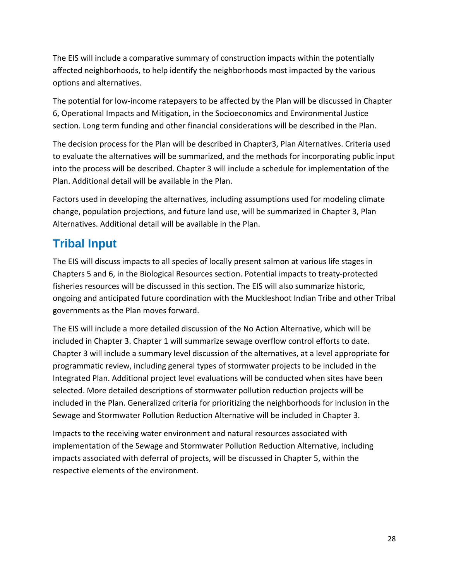The EIS will include a comparative summary of construction impacts within the potentially affected neighborhoods, to help identify the neighborhoods most impacted by the various options and alternatives.

The potential for low‐income ratepayers to be affected by the Plan will be discussed in Chapter 6, Operational Impacts and Mitigation, in the Socioeconomics and Environmental Justice section. Long term funding and other financial considerations will be described in the Plan.

The decision process for the Plan will be described in Chapter3, Plan Alternatives. Criteria used to evaluate the alternatives will be summarized, and the methods for incorporating public input into the process will be described. Chapter 3 will include a schedule for implementation of the Plan. Additional detail will be available in the Plan.

Factors used in developing the alternatives, including assumptions used for modeling climate change, population projections, and future land use, will be summarized in Chapter 3, Plan Alternatives. Additional detail will be available in the Plan.

## **Tribal Input**

The EIS will discuss impacts to all species of locally present salmon at various life stages in Chapters 5 and 6, in the Biological Resources section. Potential impacts to treaty‐protected fisheries resources will be discussed in this section. The EIS will also summarize historic, ongoing and anticipated future coordination with the Muckleshoot Indian Tribe and other Tribal governments as the Plan moves forward.

The EIS will include a more detailed discussion of the No Action Alternative, which will be included in Chapter 3. Chapter 1 will summarize sewage overflow control efforts to date. Chapter 3 will include a summary level discussion of the alternatives, at a level appropriate for programmatic review, including general types of stormwater projects to be included in the Integrated Plan. Additional project level evaluations will be conducted when sites have been selected. More detailed descriptions of stormwater pollution reduction projects will be included in the Plan. Generalized criteria for prioritizing the neighborhoods for inclusion in the Sewage and Stormwater Pollution Reduction Alternative will be included in Chapter 3.

Impacts to the receiving water environment and natural resources associated with implementation of the Sewage and Stormwater Pollution Reduction Alternative, including impacts associated with deferral of projects, will be discussed in Chapter 5, within the respective elements of the environment.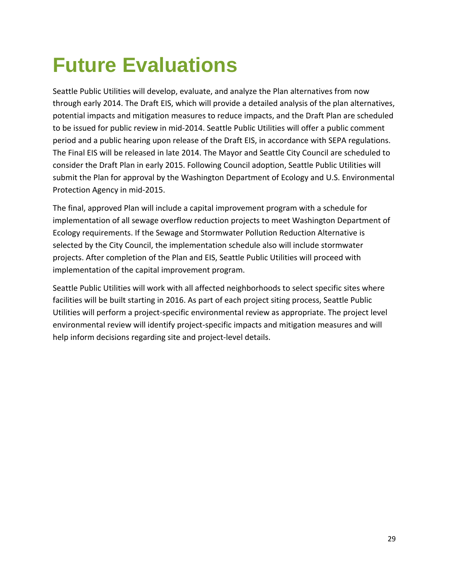# **Future Evaluations**

Seattle Public Utilities will develop, evaluate, and analyze the Plan alternatives from now through early 2014. The Draft EIS, which will provide a detailed analysis of the plan alternatives, potential impacts and mitigation measures to reduce impacts, and the Draft Plan are scheduled to be issued for public review in mid‐2014. Seattle Public Utilities will offer a public comment period and a public hearing upon release of the Draft EIS, in accordance with SEPA regulations. The Final EIS will be released in late 2014. The Mayor and Seattle City Council are scheduled to consider the Draft Plan in early 2015. Following Council adoption, Seattle Public Utilities will submit the Plan for approval by the Washington Department of Ecology and U.S. Environmental Protection Agency in mid‐2015.

The final, approved Plan will include a capital improvement program with a schedule for implementation of all sewage overflow reduction projects to meet Washington Department of Ecology requirements. If the Sewage and Stormwater Pollution Reduction Alternative is selected by the City Council, the implementation schedule also will include stormwater projects. After completion of the Plan and EIS, Seattle Public Utilities will proceed with implementation of the capital improvement program.

Seattle Public Utilities will work with all affected neighborhoods to select specific sites where facilities will be built starting in 2016. As part of each project siting process, Seattle Public Utilities will perform a project‐specific environmental review as appropriate. The project level environmental review will identify project‐specific impacts and mitigation measures and will help inform decisions regarding site and project-level details.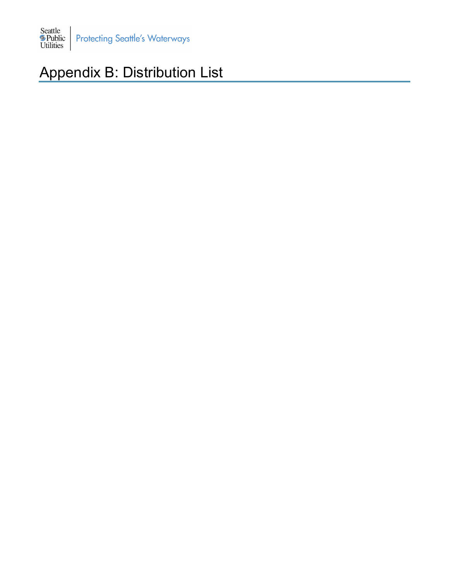

# Appendix B: Distribution List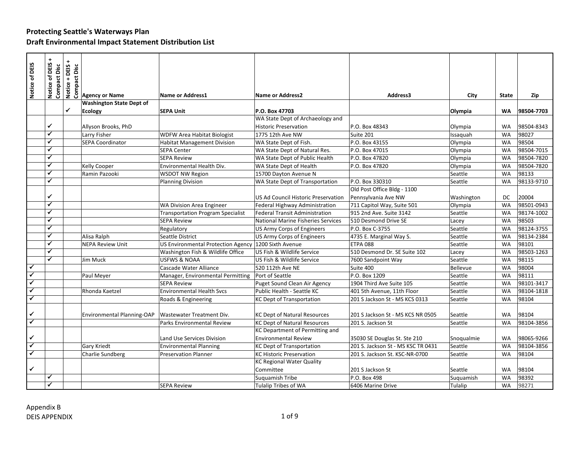|                              |                                       | DEIS+                           |                                 |                                           |                                       |                                    |            |              |            |
|------------------------------|---------------------------------------|---------------------------------|---------------------------------|-------------------------------------------|---------------------------------------|------------------------------------|------------|--------------|------------|
| Notice of DEIS               | Notice of DEIS<br><b>Compact Disc</b> | Notice + DEIS +<br>Compact Disc |                                 |                                           |                                       |                                    |            |              |            |
|                              |                                       |                                 | <b>Agency or Name</b>           | <b>Name or Address1</b>                   | <b>Name or Address2</b>               | Address3                           | City       | <b>State</b> | Zip        |
|                              |                                       |                                 | <b>Washington State Dept of</b> |                                           |                                       |                                    |            |              |            |
|                              |                                       | $\checkmark$                    | <b>Ecology</b>                  | <b>SEPA Unit</b>                          | P.O. Box 47703                        |                                    | Olympia    | <b>WA</b>    | 98504-7703 |
|                              |                                       |                                 |                                 |                                           | WA State Dept of Archaeology and      |                                    |            |              |            |
|                              | ✔                                     |                                 | Allyson Brooks, PhD             |                                           | <b>Historic Preservation</b>          | P.O. Box 48343                     | Olympia    | <b>WA</b>    | 98504-8343 |
|                              | ✓                                     |                                 | Larry Fisher                    | <b>WDFW Area Habitat Biologist</b>        | 1775 12th Ave NW                      | Suite 201                          | Issaguah   | <b>WA</b>    | 98027      |
|                              | ✓                                     |                                 | <b>SEPA Coordinator</b>         | <b>Habitat Management Division</b>        | WA State Dept of Fish.                | P.O. Box 43155                     | Olympia    | <b>WA</b>    | 98504      |
|                              | ✔                                     |                                 |                                 | <b>SEPA Center</b>                        | WA State Dept of Natural Res.         | P.O. Box 47015                     | Olympia    | <b>WA</b>    | 98504-7015 |
|                              | ✓                                     |                                 |                                 | <b>SEPA Review</b>                        | WA State Dept of Public Health        | P.O. Box 47820                     | Olympia    | <b>WA</b>    | 98504-7820 |
|                              | ✔                                     |                                 | <b>Kelly Cooper</b>             | Environmental Health Div.                 | WA State Dept of Health               | P.O. Box 47820                     | Olympia    | <b>WA</b>    | 98504-7820 |
|                              | ✓                                     |                                 | Ramin Pazooki                   | <b>WSDOT NW Region</b>                    | 15700 Dayton Avenue N                 |                                    | Seattle    | <b>WA</b>    | 98133      |
|                              | ✔                                     |                                 |                                 | <b>Planning Division</b>                  | WA State Dept of Transportation       | P.O. Box 330310                    | Seattle    | <b>WA</b>    | 98133-9710 |
|                              |                                       |                                 |                                 |                                           |                                       | Old Post Office Bldg - 1100        |            |              |            |
|                              | ✓                                     |                                 |                                 |                                           | US Ad Council Historic Preservation   | Pennsylvania Ave NW                | Washington | DC           | 20004      |
|                              | ✔                                     |                                 |                                 | WA Division Area Engineer                 | Federal Highway Administration        | 711 Capitol Way, Suite 501         | Olympia    | <b>WA</b>    | 98501-0943 |
|                              |                                       |                                 |                                 | <b>Transportation Program Specialist</b>  | <b>Federal Transit Administration</b> | 915 2nd Ave. Suite 3142            | Seattle    | <b>WA</b>    | 98174-1002 |
|                              | ✔                                     |                                 |                                 | <b>SEPA Review</b>                        | National Marine Fisheries Services    | 510 Desmond Drive SE               | Lacey      | <b>WA</b>    | 98503      |
|                              | ✔                                     |                                 |                                 | Regulatory                                | <b>US Army Corps of Engineers</b>     | P.O. Box C-3755                    | Seattle    | <b>WA</b>    | 98124-3755 |
|                              | ✓                                     |                                 | Alisa Ralph                     | Seattle District                          | <b>US Army Corps of Engineers</b>     | 4735 E. Marginal Way S.            | Seattle    | <b>WA</b>    | 98134-2384 |
|                              | ✔                                     |                                 | <b>NEPA Review Unit</b>         | <b>US Environmental Protection Agency</b> | 1200 Sixth Avenue                     | <b>ETPA 088</b>                    | Seattle    | <b>WA</b>    | 98101      |
|                              | ✔                                     |                                 |                                 | Washington Fish & Wildlife Office         | US Fish & Wildlife Service            | 510 Desmond Dr. SE Suite 102       | Lacey      | <b>WA</b>    | 98503-1263 |
|                              | ✓                                     |                                 | Jim Muck                        | <b>USFWS &amp; NOAA</b>                   | US Fish & Wildlife Service            | 7600 Sandpoint Way                 | Seattle    | <b>WA</b>    | 98115      |
| $\checkmark$                 |                                       |                                 |                                 | Cascade Water Alliance                    | 520 112th Ave NE                      | Suite 400                          | Bellevue   | <b>WA</b>    | 98004      |
| $\checkmark$                 |                                       |                                 | Paul Meyer                      | Manager, Environmental Permitting         | Port of Seattle                       | P.O. Box 1209                      | Seattle    | <b>WA</b>    | 98111      |
| $\checkmark$                 |                                       |                                 |                                 | <b>SEPA Review</b>                        | Puget Sound Clean Air Agency          | 1904 Third Ave Suite 105           | Seattle    | <b>WA</b>    | 98101-3417 |
| ✓                            |                                       |                                 | Rhonda Kaetzel                  | <b>Environmental Health Svcs</b>          | Public Health - Seattle KC            | 401 5th Avenue, 11th Floor         | Seattle    | <b>WA</b>    | 98104-1818 |
| ✓                            |                                       |                                 |                                 | Roads & Engineering                       | <b>KC Dept of Transportation</b>      | 201 S Jackson St - MS KCS 0313     | Seattle    | <b>WA</b>    | 98104      |
|                              |                                       |                                 |                                 |                                           |                                       |                                    |            |              |            |
| ✔<br>$\overline{\checkmark}$ |                                       |                                 | Environmental Planning-OAP      | Wastewater Treatment Div.                 | <b>KC Dept of Natural Resources</b>   | 201 S Jackson St - MS KCS NR 0505  | Seattle    | <b>WA</b>    | 98104      |
|                              |                                       |                                 |                                 | Parks Environmental Review                | <b>KC Dept of Natural Resources</b>   | 201 S. Jackson St                  | Seattle    | <b>WA</b>    | 98104-3856 |
|                              |                                       |                                 |                                 |                                           | KC Department of Permitting and       |                                    |            |              |            |
| ✓                            |                                       |                                 |                                 | Land Use Services Division                | <b>Environmental Review</b>           | 35030 SE Douglas St. Ste 210       | Snoqualmie | <b>WA</b>    | 98065-9266 |
| $\checkmark$                 |                                       |                                 | Gary Kriedt                     | <b>Environmental Planning</b>             | <b>KC Dept of Transportation</b>      | 201 S. Jackson St - MS KSC TR 0431 | Seattle    | <b>WA</b>    | 98104-3856 |
| $\checkmark$                 |                                       |                                 | Charlie Sundberg                | <b>Preservation Planner</b>               | <b>KC Historic Preservation</b>       | 201 S. Jackson St. KSC-NR-0700     | Seattle    | <b>WA</b>    | 98104      |
|                              |                                       |                                 |                                 |                                           | <b>KC Regional Water Quality</b>      |                                    |            |              |            |
| ✓                            |                                       |                                 |                                 |                                           | Committee                             | 201 S Jackson St                   | Seattle    | <b>WA</b>    | 98104      |
|                              | $\checkmark$                          |                                 |                                 |                                           | Suquamish Tribe                       | P.O. Box 498                       | Suguamish  | <b>WA</b>    | 98392      |
|                              | ✓                                     |                                 |                                 | <b>SEPA Review</b>                        | <b>Tulalip Tribes of WA</b>           | 6406 Marine Drive                  | Tulalip    | <b>WA</b>    | 98271      |
|                              | Appendix B<br><b>DEIS APPENDIX</b>    |                                 |                                 |                                           | $1$ of $9$                            |                                    |            |              |            |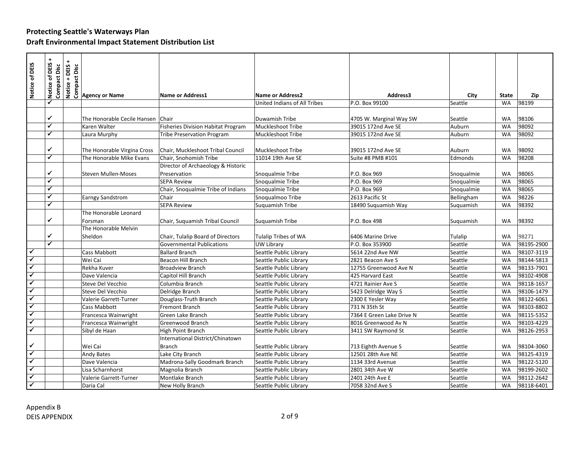| Notice of DEIS               | Notice of DEIS<br>Compact Disc | DEIS+<br>$\ddot{}$ | $\frac{32}{100}$<br>$\frac{1}{200}$<br>$\frac{1}{200}$ Agency or Name |                                           |                                                  |                                       |                    |                        |                          |
|------------------------------|--------------------------------|--------------------|-----------------------------------------------------------------------|-------------------------------------------|--------------------------------------------------|---------------------------------------|--------------------|------------------------|--------------------------|
|                              |                                | Notice -           |                                                                       | <b>Name or Address1</b>                   | <b>Name or Address2</b>                          | Address3                              | City               | <b>State</b>           | Zip                      |
|                              |                                |                    |                                                                       |                                           | United Indians of All Tribes                     | P.O. Box 99100                        | Seattle            | <b>WA</b>              | 98199                    |
|                              |                                |                    |                                                                       |                                           |                                                  |                                       |                    |                        |                          |
|                              | ✔                              |                    | The Honorable Cecile Hansen                                           | Chair                                     | Duwamish Tribe                                   | 4705 W. Marginal Way SW               | Seattle            | WA                     | 98106                    |
|                              | ✓                              |                    | Karen Walter                                                          | <b>Fisheries Division Habitat Program</b> | Muckleshoot Tribe                                | 39015 172nd Ave SE                    | Auburn             | <b>WA</b>              | 98092                    |
|                              | ✔                              |                    | Laura Murphy                                                          | <b>Tribe Preservation Program</b>         | <b>Muckleshoot Tribe</b>                         | 39015 172nd Ave SE                    | Auburn             | <b>WA</b>              | 98092                    |
|                              |                                |                    |                                                                       |                                           |                                                  |                                       |                    |                        |                          |
|                              | ✓                              |                    | The Honorable Virgina Cross                                           | Chair, Muckleshoot Tribal Council         | Muckleshoot Tribe                                | 39015 172nd Ave SE                    | Auburn             | <b>WA</b>              | 98092                    |
|                              | ✓                              |                    | The Honorable Mike Evans                                              | Chair, Snohomish Tribe                    | 11014 19th Ave SE                                | Suite #8 PMB #101                     | Edmonds            | <b>WA</b>              | 98208                    |
|                              |                                |                    |                                                                       | Director of Archaeology & Historic        |                                                  |                                       |                    |                        |                          |
|                              | ✓                              |                    | <b>Steven Mullen-Moses</b>                                            | Preservation                              | Snoqualmie Tribe                                 | P.O. Box 969                          | Snoqualmie         | <b>WA</b>              | 98065                    |
|                              |                                |                    |                                                                       | <b>SEPA Review</b>                        | Snoqualmie Tribe                                 | P.O. Box 969                          | Snoqualmie         | <b>WA</b>              | 98065                    |
|                              | ✔                              |                    |                                                                       | Chair, Snoqualmie Tribe of Indians        | Snoqualmie Tribe                                 | P.O. Box 969                          | Snoqualmie         | <b>WA</b>              | 98065                    |
|                              | ✓                              |                    | Earngy Sandstrom                                                      | Chair                                     | Snoqualmoo Tribe                                 | 2613 Pacific St                       | Bellingham         | <b>WA</b>              | 98226                    |
|                              | ✔                              |                    |                                                                       | <b>SEPA Review</b>                        | Suguamish Tribe                                  | 18490 Suguamish Way                   | Suquamish          | <b>WA</b>              | 98392                    |
|                              |                                |                    | The Honorable Leonard                                                 |                                           |                                                  |                                       |                    |                        |                          |
|                              | ✓                              |                    | Forsman                                                               | Chair, Suquamish Tribal Council           | Suquamish Tribe                                  | P.O. Box 498                          | Suguamish          | WA                     | 98392                    |
|                              |                                |                    | The Honorable Melvin                                                  |                                           |                                                  |                                       |                    |                        |                          |
|                              | $\checkmark$                   |                    | Sheldon                                                               | Chair, Tulalip Board of Directors         | Tulalip Tribes of WA                             | 6406 Marine Drive                     | Tulalip            | <b>WA</b>              | 98271                    |
|                              | $\checkmark$                   |                    |                                                                       | <b>Governmental Publications</b>          | UW Library                                       | P.O. Box 353900                       | Seattle            | <b>WA</b>              | 98195-2900               |
| $\checkmark$                 |                                |                    | Cass Mabbott                                                          | <b>Ballard Branch</b>                     | Seattle Public Library                           | 5614 22nd Ave NW                      | Seattle            | <b>WA</b>              | 98107-3119               |
| $\overline{\checkmark}$      |                                |                    | Wei Cai                                                               | Beacon Hill Branch                        | Seattle Public Library                           | 2821 Beacon Ave S                     | Seattle            | <b>WA</b>              | 98144-5813               |
| $\overline{\checkmark}$      |                                |                    | Rekha Kuver                                                           | <b>Broadview Branch</b>                   | Seattle Public Library                           | 12755 Greenwood Ave N                 | Seattle            | <b>WA</b>              | 98133-7901               |
| $\checkmark$<br>$\checkmark$ |                                |                    | Dave Valencia                                                         | Capitol Hill Branch                       | Seattle Public Library                           | 425 Harvard East                      | Seattle            | <b>WA</b>              | 98102-4908               |
| $\blacktriangledown$         |                                |                    | Steve Del Vecchio                                                     | Columbia Branch                           | Seattle Public Library                           | 4721 Rainier Ave S                    | Seattle            | <b>WA</b>              | 98118-1657               |
| $\checkmark$                 |                                |                    | Steve Del Vecchio                                                     | Delridge Branch                           | Seattle Public Library                           | 5423 Delridge Way S                   | Seattle            | <b>WA</b>              | 98106-1479               |
| ✓                            |                                |                    | Valerie Garrett-Turner                                                | Douglass-Truth Branch                     | Seattle Public Library                           | 2300 E Yesler Way                     | Seattle            | WA                     | 98122-6061               |
| $\checkmark$                 |                                |                    | <b>Cass Mabbott</b>                                                   | Fremont Branch                            | Seattle Public Library                           | 731 N 35th St                         | Seattle            | <b>WA</b>              | 98103-8802               |
| ✓                            |                                |                    | Francesca Wainwright                                                  | Green Lake Branch                         | Seattle Public Library                           | 7364 E Green Lake Drive N             | Seattle            | <b>WA</b>              | 98115-5352               |
| $\blacktriangledown$         |                                |                    | Francesca Wainwright                                                  | Greenwood Branch                          | Seattle Public Library                           | 8016 Greenwood Av N                   | Seattle            | <b>WA</b>              | 98103-4229               |
|                              |                                |                    | Sibyl de Haan                                                         | High Point Branch                         | Seattle Public Library                           | 3411 SW Raymond St                    | Seattle            | <b>WA</b>              | 98126-2953               |
| $\checkmark$                 |                                |                    |                                                                       | International District/Chinatown          |                                                  |                                       |                    | <b>WA</b>              |                          |
| $\checkmark$                 |                                |                    | Wei Cai                                                               | Branch                                    | Seattle Public Library                           | 713 Eighth Avenue S                   | Seattle            |                        | 98104-3060               |
| $\blacktriangledown$         |                                |                    | <b>Andy Bates</b><br>Dave Valencia                                    | Lake City Branch                          | Seattle Public Library                           | 12501 28th Ave NE<br>1134 33rd Avenue | Seattle<br>Seattle | <b>WA</b><br><b>WA</b> | 98125-4319<br>98122-5120 |
| $\checkmark$                 |                                |                    | Lisa Scharnhorst                                                      | Madrona-Sally Goodmark Branch             | Seattle Public Library                           |                                       |                    | <b>WA</b>              | 98199-2602               |
|                              |                                |                    | Valerie Garrett-Turner                                                | Magnolia Branch<br>Montlake Branch        | Seattle Public Library                           | 2801 34th Ave W<br>2401 24th Ave E    | Seattle<br>Seattle | <b>WA</b>              | 98112-2642               |
| $\checkmark$                 |                                |                    | Daria Cal                                                             | New Holly Branch                          | Seattle Public Library<br>Seattle Public Library | 7058 32nd Ave S                       | Seattle            | <b>WA</b>              | 98118-6401               |
|                              |                                |                    |                                                                       |                                           |                                                  |                                       |                    |                        |                          |
| Appendix B                   | <b>DEIS APPENDIX</b>           |                    |                                                                       |                                           | $2$ of 9                                         |                                       |                    |                        |                          |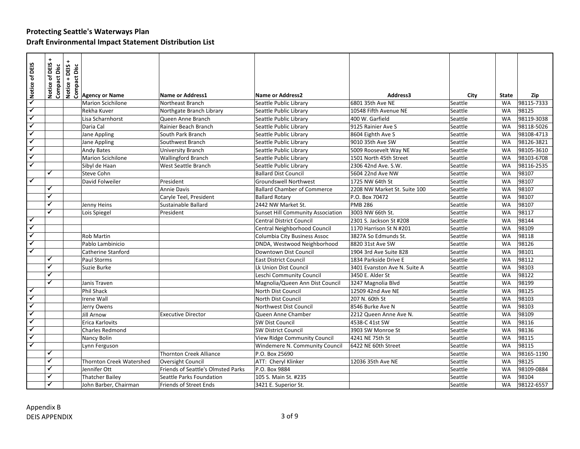| Notice of DEIS          | Notice of DEIS<br>Compact Disc | <b>EXECUTE:</b><br><b>SECUTE:</b><br><u>SECUTE:<br/> SECUTE:<br/> Agency or Name</u> |                                    |                                          |                              |         |           |            |
|-------------------------|--------------------------------|--------------------------------------------------------------------------------------|------------------------------------|------------------------------------------|------------------------------|---------|-----------|------------|
|                         |                                |                                                                                      | <b>Name or Address1</b>            | <b>Name or Address2</b>                  | Address3                     | City    | State     | Zip        |
| $\overline{\checkmark}$ |                                | <b>Marion Scichilone</b>                                                             | Northeast Branch                   | Seattle Public Library                   | 6801 35th Ave NE             | Seattle | <b>WA</b> | 98115-7333 |
| $\overline{\checkmark}$ |                                | Rekha Kuver                                                                          | Northgate Branch Library           | Seattle Public Library                   | 10548 Fifth Avenue NE        | Seattle | <b>WA</b> | 98125      |
| $\blacktriangledown$    |                                | Lisa Scharnhorst                                                                     | Queen Anne Branch                  | Seattle Public Library                   | 400 W. Garfield              | Seattle | <b>WA</b> | 98119-3038 |
| $\checkmark$            |                                | Daria Cal                                                                            | Rainier Beach Branch               | Seattle Public Library                   | 9125 Rainier Ave S           | Seattle | <b>WA</b> | 98118-5026 |
| $\overline{\checkmark}$ |                                | Jane Appling                                                                         | South Park Branch                  | Seattle Public Library                   | 8604 Eighth Ave S            | Seattle | <b>WA</b> | 98108-4713 |
| $\blacktriangledown$    |                                | Jane Appling                                                                         | Southwest Branch                   | Seattle Public Library                   | 9010 35th Ave SW             | Seattle | <b>WA</b> | 98126-3821 |
| $\checkmark$            |                                | Andy Bates                                                                           | University Branch                  | Seattle Public Library                   | 5009 Roosevelt Way NE        | Seattle | <b>WA</b> | 98105-3610 |
| $\checkmark$            |                                | <b>Marion Scichilone</b>                                                             | <b>Wallingford Branch</b>          | Seattle Public Library                   | 1501 North 45th Street       | Seattle | <b>WA</b> | 98103-6708 |
| $\checkmark$            |                                | Sibyl de Haan                                                                        | West Seattle Branch                | Seattle Public Library                   | 2306 42nd Ave. S.W.          | Seattle | <b>WA</b> | 98116-2535 |
|                         | ✔                              | Steve Cohn                                                                           |                                    | <b>Ballard Dist Council</b>              | 5604 22nd Ave NW             | Seattle | <b>WA</b> | 98107      |
| ✓                       |                                | David Folweiler                                                                      | President                          | Groundswell Northwest                    | 1725 NW 64th St              | Seattle | <b>WA</b> | 98107      |
|                         | ✔                              |                                                                                      | Annie Davis                        | <b>Ballard Chamber of Commerce</b>       | 2208 NW Market St. Suite 100 | Seattle | <b>WA</b> | 98107      |
|                         | ✔                              |                                                                                      | Caryle Teel, President             | <b>Ballard Rotary</b>                    | P.O. Box 70472               | Seattle | <b>WA</b> | 98107      |
|                         | ✔                              | Jenny Heins                                                                          | Sustainable Ballard                | 2442 NW Market St.                       | <b>PMB 286</b>               | Seattle | <b>WA</b> | 98107      |
|                         | ✓                              | Lois Spiegel                                                                         | President                          | <b>Sunset Hill Community Association</b> | 3003 NW 66th St.             | Seattle | <b>WA</b> | 98117      |
| $\checkmark$            |                                |                                                                                      |                                    | <b>Central District Council</b>          | 2301 S. Jackson St #208      | Seattle | <b>WA</b> | 98144      |
| $\overline{\checkmark}$ |                                |                                                                                      |                                    | Central Neighborhood Council             | 1170 Harrison St N #201      | Seattle | <b>WA</b> | 98109      |
| $\overline{\checkmark}$ |                                | <b>Rob Martin</b>                                                                    |                                    | Columbia City Business Assoc             | 3827A So Edmunds St.         | Seattle | <b>WA</b> | 98118      |
| $\checkmark$            |                                | Pablo Lambinicio                                                                     |                                    | DNDA, Westwood Neighborhood              | 8820 31st Ave SW             | Seattle | <b>WA</b> | 98126      |
| $\overline{\checkmark}$ |                                | <b>Catherine Stanford</b>                                                            |                                    | Downtown Dist Council                    | 1904 3rd Ave Suite 828       | Seattle | <b>WA</b> | 98101      |
|                         | ✓                              | Paul Storms                                                                          |                                    | <b>East District Council</b>             | 1834 Parkside Drive E        | Seattle | <b>WA</b> | 98112      |
|                         | ✔                              | Suzie Burke                                                                          |                                    | Lk Union Dist Council                    | 3401 Evanston Ave N. Suite A | Seattle | <b>WA</b> | 98103      |
|                         | $\checkmark$                   |                                                                                      |                                    | Leschi Community Council                 | 3450 E. Alder St             | Seattle | <b>WA</b> | 98122      |
|                         | ✔                              | Janis Traven                                                                         |                                    | Magnolia/Queen Ann Dist Council          | 3247 Magnolia Blvd           | Seattle | <b>WA</b> | 98199      |
| $\checkmark$            |                                | Phil Shack                                                                           |                                    | North Dist Council                       | 12509 42nd Ave NE            | Seattle | <b>WA</b> | 98125      |
| $\overline{\checkmark}$ |                                | Irene Wall                                                                           |                                    | North Dist Council                       | 207 N. 60th St               | Seattle | <b>WA</b> | 98103      |
| $\overline{\checkmark}$ |                                | Jerry Owens                                                                          |                                    | Northwest Dist Council                   | 8546 Burke Ave N             | Seattle | <b>WA</b> | 98103      |
| $\overline{\checkmark}$ |                                | Jill Arnow                                                                           | <b>Executive Director</b>          | Queen Anne Chamber                       | 2212 Queen Anne Ave N.       | Seattle | <b>WA</b> | 98109      |
| $\checkmark$            |                                | Erica Karlovits                                                                      |                                    | <b>SW Dist Council</b>                   | 4538-C 41st SW               | Seattle | <b>WA</b> | 98116      |
| $\blacktriangledown$    |                                | <b>Charles Redmond</b>                                                               |                                    | <b>SW District Council</b>               | 3903 SW Monroe St            | Seattle | <b>WA</b> | 98136      |
| ✓                       |                                | Nancy Bolin                                                                          |                                    | View Ridge Community Council             | 4241 NE 75th St              | Seattle | <b>WA</b> | 98115      |
| ✓                       |                                | Lynn Ferguson                                                                        |                                    | Windemere N. Community Council           | 6422 NE 60th Street          | Seattle | <b>WA</b> | 98115      |
|                         | $\checkmark$                   |                                                                                      | <b>Thornton Creek Alliance</b>     | P.O. Box 25690                           |                              | Seattle | <b>WA</b> | 98165-1190 |
|                         | $\checkmark$                   | Thornton Creek Watershed                                                             | <b>Oversight Council</b>           | ATT: Cheryl Klinker                      | 12036 35th Ave NE            | Seattle | <b>WA</b> | 98125      |
|                         | ✔                              | Jennifer Ott                                                                         | Friends of Seattle's Olmsted Parks | P.O. Box 9884                            |                              | Seattle | <b>WA</b> | 98109-0884 |
|                         | ✔                              | <b>Thatcher Bailey</b>                                                               | Seattle Parks Foundation           | 105 S. Main St. #235                     |                              | Seattle | <b>WA</b> | 98104      |
|                         |                                | John Barber, Chairman                                                                | Friends of Street Ends             | 3421 E. Superior St.                     |                              | Seattle | WA        | 98122-6557 |
| Appendix B              | <b>DEIS APPENDIX</b>           |                                                                                      |                                    | 3 of 9                                   |                              |         |           |            |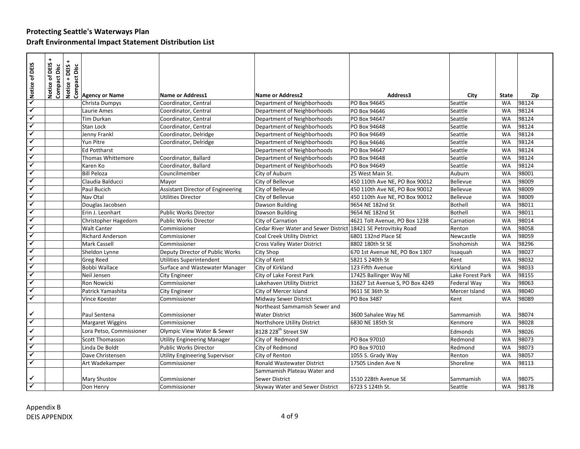| Notice of DEIS                     | Notice of DEIS +<br>Compact Disc | <b>SECAL SECTION</b><br>SUBSECTION<br>COMBRET PROPERTY OF NAME |                                          |                                                                |                                 |                  |           |       |
|------------------------------------|----------------------------------|----------------------------------------------------------------|------------------------------------------|----------------------------------------------------------------|---------------------------------|------------------|-----------|-------|
|                                    |                                  |                                                                |                                          |                                                                |                                 |                  |           |       |
|                                    |                                  |                                                                | <b>Name or Address1</b>                  | <b>Name or Address2</b>                                        | Address3                        | City             | State     | Zip   |
| $\overline{\checkmark}$            |                                  | Christa Dumpys                                                 | Coordinator, Central                     | Department of Neighborhoods                                    | PO Box 94645                    | Seattle          | <b>WA</b> | 98124 |
| $\checkmark$                       |                                  | Laurie Ames                                                    | Coordinator, Central                     | Department of Neighborhoods                                    | PO Box 94646                    | Seattle          | <b>WA</b> | 98124 |
| $\blacktriangledown$               |                                  | Tim Durkan                                                     | Coordinator, Central                     | Department of Neighborhoods                                    | PO Box 94647                    | Seattle          | <b>WA</b> | 98124 |
| $\overline{\checkmark}$            |                                  | Stan Lock                                                      | Coordinator, Central                     | Department of Neighborhoods                                    | PO Box 94648                    | Seattle          | <b>WA</b> | 98124 |
| $\checkmark$                       |                                  | Jenny Frankl                                                   | Coordinator, Delridge                    | Department of Neighborhoods                                    | PO Box 94649                    | Seattle          | <b>WA</b> | 98124 |
| $\checkmark$                       |                                  | Yun Pitre                                                      | Coordinator, Delridge                    | Department of Neighborhoods                                    | PO Box 94646                    | Seattle          | <b>WA</b> | 98124 |
| ✓                                  |                                  | <b>Ed Pottharst</b>                                            |                                          | Department of Neighborhoods                                    | PO Box 94647                    | Seattle          | <b>WA</b> | 98124 |
| $\checkmark$                       |                                  | Thomas Whittemore                                              | Coordinator, Ballard                     | Department of Neighborhoods                                    | PO Box 94648                    | Seattle          | <b>WA</b> | 98124 |
| ✓                                  |                                  | Karen Ko                                                       | Coordinator, Ballard                     | Department of Neighborhoods                                    | PO Box 94649                    | Seattle          | <b>WA</b> | 98124 |
| $\checkmark$                       |                                  | <b>Bill Peloza</b>                                             | Councilmember                            | City of Auburn                                                 | 25 West Main St.                | Auburn           | <b>WA</b> | 98001 |
| $\checkmark$                       |                                  | Claudia Balducci                                               | Mayor                                    | City of Bellevue                                               | 450 110th Ave NE, PO Box 90012  | Bellevue         | <b>WA</b> | 98009 |
| $\checkmark$                       |                                  | Paul Bucich                                                    | <b>Assistant Director of Engineering</b> | City of Bellevue                                               | 450 110th Ave NE, PO Box 90012  | Bellevue         | <b>WA</b> | 98009 |
| $\checkmark$                       |                                  | Nav Otal                                                       | <b>Utilities Director</b>                | City of Bellevue                                               | 450 110th Ave NE, PO Box 90012  | Bellevue         | <b>WA</b> | 98009 |
| $\checkmark$                       |                                  | Douglas Jacobsen                                               |                                          | Dawson Building                                                | 9654 NE 182nd St                | <b>Bothell</b>   | <b>WA</b> | 98011 |
| $\blacktriangledown$               |                                  | Erin J. Leonhart                                               | <b>Public Works Director</b>             | Dawson Building                                                | 9654 NE 182nd St                | Bothell          | <b>WA</b> | 98011 |
| $\checkmark$                       |                                  | Christopher Hagedorn                                           | Public Works Director                    | City of Carnation                                              | 4621 Tolt Avenue, PO Box 1238   | Carnation        | <b>WA</b> | 98014 |
| ✓                                  |                                  | <b>Walt Canter</b>                                             | Commissioner                             | Cedar River Water and Sewer District 18421 SE Petrovitsky Road |                                 | Renton           | <b>WA</b> | 98058 |
| $\checkmark$                       |                                  | <b>Richard Anderson</b>                                        | Commissioner                             | Coal Creek Utility District                                    | 6801 132nd Place SE             | Newcastle        | <b>WA</b> | 98059 |
| $\checkmark$                       |                                  | <b>Mark Cassell</b>                                            | Commissioner                             | Cross Valley Water District                                    | 8802 180th St SE                | Snohomish        | <b>WA</b> | 98296 |
| $\overline{\checkmark}$            |                                  | Sheldon Lynne                                                  | Deputy Director of Public Works          | City Shop                                                      | 670 1st Avenue NE, PO Box 1307  | Issaguah         | <b>WA</b> | 98027 |
| $\checkmark$                       |                                  | <b>Greg Reed</b>                                               | Utilities Superintendent                 | City of Kent                                                   | 5821 S 240th St                 | Kent             | <b>WA</b> | 98032 |
| $\checkmark$                       |                                  | Bobbi Wallace                                                  | Surface and Wastewater Manager           | City of Kirkland                                               | 123 Fifth Avenue                | Kirkland         | <b>WA</b> | 98033 |
| ✓                                  |                                  | Neil Jensen                                                    | <b>City Engineer</b>                     | City of Lake Forest Park                                       | 17425 Ballinger Way NE          | Lake Forest Park | <b>WA</b> | 98155 |
| $\checkmark$                       |                                  | Ron Nowicki                                                    | Commissioner                             | Lakehaven Utility District                                     | 31627 1st Avenue S, PO Box 4249 | Federal Way      | Wa        | 98063 |
| $\checkmark$                       |                                  | Patrick Yamashita                                              | City Engineer                            | City of Mercer Island                                          | 9611 SE 36th St                 | Mercer Island    | <b>WA</b> | 98040 |
| $\blacktriangledown$               |                                  | Vince Koester                                                  | Commissioner                             | <b>Midway Sewer District</b>                                   | PO Box 3487                     | Kent             | <b>WA</b> | 98089 |
|                                    |                                  |                                                                |                                          | Northeast Sammamish Sewer and                                  |                                 |                  |           |       |
| $\checkmark$                       |                                  | Paul Sentena                                                   | Commissioner                             | <b>Water District</b>                                          | 3600 Sahalee Way NE             | Sammamish        | <b>WA</b> | 98074 |
| $\checkmark$                       |                                  | Margaret Wiggins                                               | Commissioner                             | Northshore Utility District                                    | 6830 NE 185th St                | Kenmore          | <b>WA</b> | 98028 |
| $\checkmark$                       |                                  | Lora Petso, Commissioner                                       | Olympic View Water & Sewer               | 8128 228 <sup>th</sup> Street SW                               |                                 | Edmonds          | <b>WA</b> | 98026 |
| $\checkmark$                       |                                  | <b>Scott Thomasson</b>                                         | <b>Utility Engineering Manager</b>       | City of Redmond                                                | PO Box 97010                    | Redmond          | <b>WA</b> | 98073 |
| ✓                                  |                                  | Linda De Boldt                                                 | <b>Public Works Director</b>             | City of Redmond                                                | PO Box 97010                    | Redmond          | <b>WA</b> | 98073 |
| ✔                                  |                                  | Dave Christensen                                               | <b>Utility Engineering Supervisor</b>    | City of Renton                                                 | 1055 S. Grady Way               | Renton           | <b>WA</b> | 98057 |
| ✓                                  |                                  | Art Wadekamper                                                 | Commissioner                             | <b>Ronald Wastewater District</b>                              | 17505 Linden Ave N              | Shoreline        | <b>WA</b> | 98113 |
|                                    |                                  |                                                                |                                          | Sammamish Plateau Water and                                    |                                 |                  |           |       |
| ✓                                  |                                  | Mary Shustov                                                   | Commissioner                             | <b>Sewer District</b>                                          | 1510 228th Avenue SE            | Sammamish        | WA        | 98075 |
| $\overline{\checkmark}$            |                                  | Don Henry                                                      | Commissioner                             | Skyway Water and Sewer District                                | 6723 S 124th St.                | Seattle          | <b>WA</b> | 98178 |
| Appendix B<br><b>DEIS APPENDIX</b> |                                  |                                                                |                                          | 4 of 9                                                         |                                 |                  |           |       |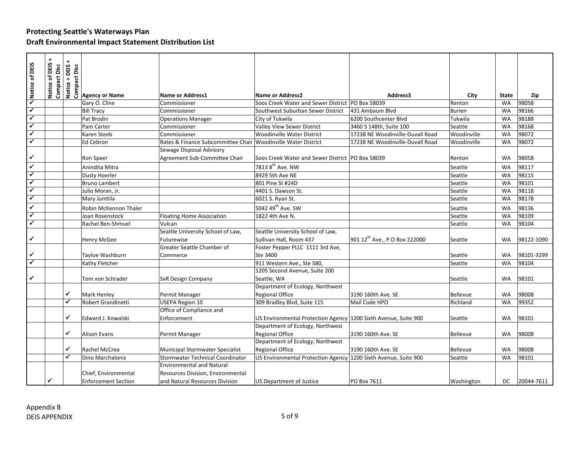| Notice of DEIS       | Notice of DEIS +<br>Compact Disc |   | tion<br>using<br>So Bency or Name<br>So Bency or Name |                                                               |                                                                 |                                           |                 |           |            |
|----------------------|----------------------------------|---|-------------------------------------------------------|---------------------------------------------------------------|-----------------------------------------------------------------|-------------------------------------------|-----------------|-----------|------------|
|                      |                                  |   |                                                       |                                                               |                                                                 |                                           |                 |           |            |
|                      |                                  |   |                                                       |                                                               |                                                                 |                                           |                 |           |            |
|                      |                                  |   |                                                       | <b>Name or Address1</b>                                       | <b>Name or Address2</b>                                         | Address3                                  | City            | State     | Zip        |
| $\checkmark$         |                                  |   | Gary O. Cline                                         | Commissioner                                                  | Soos Creek Water and Sewer District   PO Box 58039              |                                           | Renton          | <b>WA</b> | 98058      |
| $\blacktriangledown$ |                                  |   | <b>Bill Tracy</b>                                     | Commissioner                                                  | Southwest Suburban Sewer District                               | 431 Ambaum Blvd                           | <b>Burien</b>   | <b>WA</b> | 98166      |
| $\checkmark$         |                                  |   | Pat Brodin                                            | <b>Operations Manager</b>                                     | City of Tukwila                                                 | 6200 Southcenter Blvd                     | Tukwila         | <b>WA</b> | 98188      |
| ✓                    |                                  |   | Pam Carter                                            | Commissioner                                                  | Valley View Sewer District                                      | 3460 S 148th, Suite 100                   | Seattle         | <b>WA</b> | 98168      |
| ✔                    |                                  |   | Karen Steeb                                           | Commissioner                                                  | <b>Woodinville Water District</b>                               | 17238 NE Woodinville-Duvall Road          | Woodinville     | <b>WA</b> | 98072      |
|                      |                                  |   | Ed Cebron                                             | Rates & Finance Subcommittee Chair Woodinville Water District |                                                                 | 17238 NE Woodinville-Duvall Road          | Woodinville     | WA        | 98072      |
|                      |                                  |   |                                                       | Sewage Disposal Advisory                                      |                                                                 |                                           |                 |           |            |
| ✓                    |                                  |   | Ron Speer                                             | Agreement Sub-Committee Chair                                 | Soos Creek Water and Sewer District   PO Box 58039              |                                           | Renton          | WA        | 98058      |
| ✓                    |                                  |   | Anindita Mitra                                        |                                                               | 7813 8 <sup>th</sup> Ave. NW                                    |                                           | Seattle         | <b>WA</b> | 98117      |
| ✓                    |                                  |   | <b>Dusty Hoerler</b>                                  |                                                               | 8929 5th Ave NE                                                 |                                           | Seattle         | <b>WA</b> | 98115      |
| ✓                    |                                  |   | <b>Bruno Lambert</b>                                  |                                                               | 801 Pine St #24D                                                |                                           | Seattle         | <b>WA</b> | 98101      |
| ✓                    |                                  |   | Julio Moran, Jr.                                      |                                                               | 4401 S. Dawson St.                                              |                                           | Seattle         | <b>WA</b> | 98118      |
| ✓                    |                                  |   | Mary Junttila                                         |                                                               | 6021 S. Ryan St.                                                |                                           | Seattle         | <b>WA</b> | 98178      |
| ✓                    |                                  |   | Robin McKennon Thaler                                 |                                                               | 5042 49 <sup>th</sup> Ave. SW                                   |                                           | Seattle         | <b>WA</b> | 98136      |
|                      |                                  |   | Joan Rosenstock                                       | <b>Floating Home Association</b>                              | 1822 4th Ave N.                                                 |                                           | Seattle         | <b>WA</b> | 98109      |
| ✓                    |                                  |   | Rachel Ben-Shmuel                                     | Vulcan                                                        |                                                                 |                                           | Seattle         | WA        | 98104      |
|                      |                                  |   |                                                       | Seattle University School of Law,                             | Seattle University School of Law,                               |                                           |                 |           |            |
| ✓                    |                                  |   | Henry McGee                                           | Futurewise                                                    | Sullivan Hall, Room 437                                         | 901 12 <sup>th</sup> Ave., P.O Box 222000 | Seattle         | <b>WA</b> | 98122-1090 |
|                      |                                  |   |                                                       | Greater Seattle Chamber of                                    | Foster Pepper PLLC 1111 3rd Ave,                                |                                           |                 |           |            |
| ✓                    |                                  |   | Tayloe Washburn                                       | Commerce                                                      | Ste 3400                                                        |                                           | Seattle         | <b>WA</b> | 98101-3299 |
| ✓                    |                                  |   | Kathy Fletcher                                        |                                                               | 911 Western Ave., Ste 580,                                      |                                           | Seattle         | <b>WA</b> | 98104      |
|                      |                                  |   |                                                       |                                                               | 1205 Second Avenue, Suite 200                                   |                                           |                 |           |            |
| ✓                    |                                  |   | Tom von Schrader                                      | SvR Design Company                                            | Seattle, WA                                                     |                                           | Seattle         | <b>WA</b> | 98101      |
|                      |                                  |   |                                                       |                                                               | Department of Ecology, Northwest                                |                                           |                 |           |            |
|                      |                                  | ✔ | <b>Mark Henley</b>                                    | Permit Manager                                                | <b>Regional Office</b>                                          | 3190 160th Ave. SE                        | <b>Bellevue</b> | <b>WA</b> | 98008      |
|                      |                                  | ✔ | Robert Grandinetti                                    | <b>USEPA Region 10</b>                                        | 309 Bradley Blvd, Suite 115                                     | Mail Code HPO                             | Richland        | <b>WA</b> | 99352      |
|                      |                                  |   |                                                       | Office of Compliance and                                      |                                                                 |                                           |                 |           |            |
|                      |                                  | ✓ | Edward J. Kowalski                                    | Enforcement                                                   | US Environmental Protection Agency 1200 Sixth Avenue, Suite 900 |                                           | Seattle         | <b>WA</b> | 98101      |
|                      |                                  |   |                                                       |                                                               | Department of Ecology, Northwest                                |                                           |                 |           |            |
|                      |                                  | ✓ | <b>Alison Evans</b>                                   | Permit Manager                                                | <b>Regional Office</b>                                          | 3190 160th Ave. SE                        | <b>Bellevue</b> | <b>WA</b> | 98008      |
|                      |                                  |   |                                                       |                                                               | Department of Ecology, Northwest                                |                                           |                 |           |            |
|                      |                                  | ✓ | Rachel McCrea                                         | <b>Municipal Stormwater Specialist</b>                        | <b>Regional Office</b>                                          | 3190 160th Ave. SE                        | <b>Bellevue</b> | <b>WA</b> | 98008      |
|                      |                                  | ✓ | Dino Marchalonis                                      | Stormwater Technical Coordinator                              | US Environmental Protection Agency 1200 Sixth Avenue, Suite 900 |                                           | Seattle         | <b>WA</b> | 98101      |
|                      |                                  |   |                                                       | <b>Environmental and Natural</b>                              |                                                                 |                                           |                 |           |            |
|                      |                                  |   | Chief, Environmental                                  | Resources Division, Environmental                             |                                                                 |                                           |                 |           |            |
|                      | ✓                                |   | <b>Enforcement Section</b>                            | and Natural Resources Division                                | <b>US Department of Justice</b>                                 | PO Box 7611                               | Washington      | DC        | 20044-7611 |
|                      |                                  |   |                                                       |                                                               |                                                                 |                                           |                 |           |            |
|                      |                                  |   |                                                       |                                                               |                                                                 |                                           |                 |           |            |
|                      | Appendix B                       |   |                                                       |                                                               |                                                                 |                                           |                 |           |            |
|                      |                                  |   |                                                       |                                                               | $5$ of 9                                                        |                                           |                 |           |            |
|                      | <b>DEIS APPENDIX</b>             |   |                                                       |                                                               |                                                                 |                                           |                 |           |            |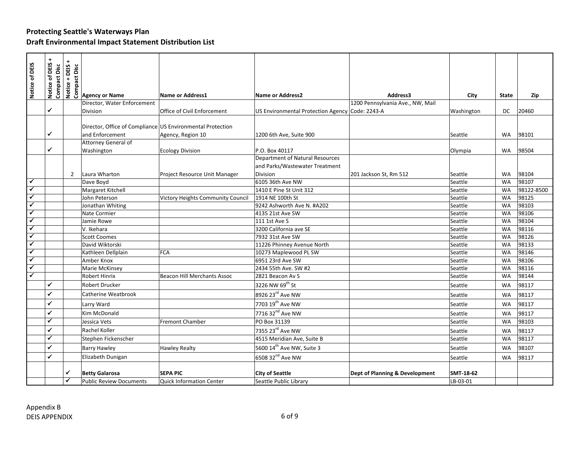| <b>EXECUTE:</b><br><b>SECUTE 2018</b><br><b>SECUTE 2019</b><br><b>Agency or Name</b><br>Notice of DEIS<br>Notice of DEIS<br><b>Compact Disc</b><br>Name or Address1<br><b>Name or Address2</b> | Address3<br>1200 Pennsylvania Ave., NW, Mail | City       | <b>State</b> |            |
|------------------------------------------------------------------------------------------------------------------------------------------------------------------------------------------------|----------------------------------------------|------------|--------------|------------|
|                                                                                                                                                                                                |                                              |            |              |            |
|                                                                                                                                                                                                |                                              |            |              |            |
|                                                                                                                                                                                                |                                              |            |              | Zip        |
| Director, Water Enforcement                                                                                                                                                                    |                                              |            |              |            |
| $\checkmark$<br>Division<br>Office of Civil Enforcement<br>US Environmental Protection Agency Code: 2243-A                                                                                     |                                              | Washington | DC           | 20460      |
|                                                                                                                                                                                                |                                              |            |              |            |
| Director, Office of Compliance US Environmental Protection                                                                                                                                     |                                              |            |              |            |
| ✔<br>and Enforcement<br>1200 6th Ave, Suite 900<br>Agency, Region 10                                                                                                                           |                                              | Seattle    | WA           | 98101      |
| Attorney General of<br>✔<br>P.O. Box 40117                                                                                                                                                     |                                              |            | WA           | 98504      |
| Washington<br><b>Ecology Division</b><br>Department of Natural Resources                                                                                                                       |                                              | Olympia    |              |            |
| and Parks/Wastewater Treatment                                                                                                                                                                 |                                              |            |              |            |
| Laura Wharton<br><b>Division</b><br>$\overline{2}$<br>Project Resource Unit Manager                                                                                                            | 201 Jackson St, Rm 512                       | Seattle    | <b>WA</b>    | 98104      |
| $\checkmark$<br>Dave Boyd<br>6105 36th Ave NW                                                                                                                                                  |                                              | Seattle    | WA           | 98107      |
| $\checkmark$<br>Margaret Kitchell<br>1410 E Pine St Unit 312                                                                                                                                   |                                              | Seattle    | <b>WA</b>    | 98122-8500 |
| $\checkmark$<br>John Peterson<br>Victory Heights Community Council<br>1914 NE 100th St                                                                                                         |                                              | Seattle    | WA           | 98125      |
| ✓<br>Jonathan Whiting<br>9242 Ashworth Ave N. #A202                                                                                                                                            |                                              | Seattle    | WA           | 98103      |
| $\checkmark$<br>Nate Cormier<br>4135 21st Ave SW                                                                                                                                               |                                              | Seattle    | <b>WA</b>    | 98106      |
| $\checkmark$<br>Jamie Rowe<br>111 1st Ave S                                                                                                                                                    |                                              | Seattle    | WA           | 98104      |
| $\checkmark$<br>V. Ikehara<br>3200 California ave SE                                                                                                                                           |                                              | Seattle    | <b>WA</b>    | 98116      |
| $\overline{\checkmark}$<br><b>Scott Coomes</b><br>7932 31st Ave SW                                                                                                                             |                                              | Seattle    | <b>WA</b>    | 98126      |
| ✓<br>David Wiktorski<br>11226 Phinney Avenue North                                                                                                                                             |                                              | Seattle    | <b>WA</b>    | 98133      |
| $\blacktriangledown$<br>Kathleen Dellplain<br><b>FCA</b><br>10273 Maplewood PL SW                                                                                                              |                                              | Seattle    | WA           | 98146      |
| $\checkmark$<br>Amber Knox<br>6951 23rd Ave SW                                                                                                                                                 |                                              | Seattle    | WA           | 98106      |
| ✓<br>Marie McKinsey<br>2434 55th Ave. SW #2                                                                                                                                                    |                                              | Seattle    | <b>WA</b>    | 98116      |
| ✔<br><b>Robert Hinrix</b><br><b>Beacon Hill Merchants Assoc</b><br>2821 Beacon Av S                                                                                                            |                                              | Seattle    | <b>WA</b>    | 98144      |
| ✓<br>3226 NW 69th St<br>Robert Drucker                                                                                                                                                         |                                              | Seattle    | <b>WA</b>    | 98117      |
| 8926 23rd Ave NW<br>✓<br>Catherine Weatbrook                                                                                                                                                   |                                              | Seattle    | <b>WA</b>    | 98117      |
| 7703 19 <sup>th</sup> Ave NW<br>✓<br>Larry Ward                                                                                                                                                |                                              | Seattle    | <b>WA</b>    | 98117      |
| 7716 32 <sup>nd</sup> Ave NW<br>✓<br>Kim McDonald                                                                                                                                              |                                              | Seattle    | <b>WA</b>    | 98117      |
| ✓<br>PO Box 31139<br>Jessica Vets<br><b>Fremont Chamber</b>                                                                                                                                    |                                              | Seattle    | <b>WA</b>    | 98103      |
| 7355 23rd Ave NW<br>Rachel Koller<br>✓                                                                                                                                                         |                                              | Seattle    | <b>WA</b>    | 98117      |
| ✓<br>4515 Meridian Ave, Suite B<br>Stephen Fickenscher                                                                                                                                         |                                              | Seattle    | <b>WA</b>    | 98117      |
| ✓<br>5600 14 <sup>th</sup> Ave NW, Suite 3<br><b>Barry Hawley</b><br><b>Hawley Realty</b>                                                                                                      |                                              | Seattle    | <b>WA</b>    | 98107      |
| 6508 32 <sup>nd</sup> Ave NW<br>✔<br>Elizabeth Dunigan                                                                                                                                         |                                              | Seattle    | <b>WA</b>    | 98117      |
|                                                                                                                                                                                                |                                              |            |              |            |
| ✓<br><b>Betty Galarosa</b><br><b>SEPA PIC</b><br><b>City of Seattle</b>                                                                                                                        | Dept of Planning & Development               | SMT-18-62  |              |            |
| ✓<br><b>Public Review Documents</b><br><b>Quick Information Center</b><br>Seattle Public Library                                                                                               |                                              | LB-03-01   |              |            |
|                                                                                                                                                                                                |                                              |            |              |            |
| Appendix B                                                                                                                                                                                     |                                              |            |              |            |
| 6 of 9<br><b>DEIS APPENDIX</b>                                                                                                                                                                 |                                              |            |              |            |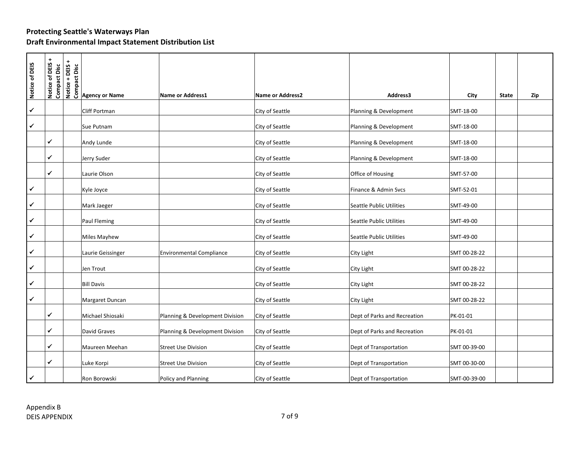| Notice of DEIS | $\ddot{}$<br>Notice of DEIS<br><b>Compact Disc</b> | the signal<br>difference of the signal<br>signal set of the signal<br>set of the signal set of the signal set of the signal<br>set of the signal set of the signal set of the signal set of the signal set of the signal set of the signal |                                 |                         |                              |              |              |     |
|----------------|----------------------------------------------------|--------------------------------------------------------------------------------------------------------------------------------------------------------------------------------------------------------------------------------------------|---------------------------------|-------------------------|------------------------------|--------------|--------------|-----|
|                |                                                    |                                                                                                                                                                                                                                            | <b>Name or Address1</b>         | <b>Name or Address2</b> | Address3                     | City         | <b>State</b> | Zip |
| ✔              |                                                    | Cliff Portman                                                                                                                                                                                                                              |                                 | City of Seattle         | Planning & Development       | SMT-18-00    |              |     |
| ✓              |                                                    | Sue Putnam                                                                                                                                                                                                                                 |                                 | City of Seattle         | Planning & Development       | SMT-18-00    |              |     |
|                | ✓                                                  | Andy Lunde                                                                                                                                                                                                                                 |                                 | City of Seattle         | Planning & Development       | SMT-18-00    |              |     |
|                | ✓                                                  | Jerry Suder                                                                                                                                                                                                                                |                                 | City of Seattle         | Planning & Development       | SMT-18-00    |              |     |
|                | $\checkmark$                                       | Laurie Olson                                                                                                                                                                                                                               |                                 | City of Seattle         | Office of Housing            | SMT-57-00    |              |     |
| ✓              |                                                    | Kyle Joyce                                                                                                                                                                                                                                 |                                 | City of Seattle         | Finance & Admin Svcs         | SMT-52-01    |              |     |
| ✓              |                                                    | Mark Jaeger                                                                                                                                                                                                                                |                                 | City of Seattle         | Seattle Public Utilities     | SMT-49-00    |              |     |
| ✓              |                                                    | Paul Fleming                                                                                                                                                                                                                               |                                 | City of Seattle         | Seattle Public Utilities     | SMT-49-00    |              |     |
| ✔              |                                                    | Miles Mayhew                                                                                                                                                                                                                               |                                 | City of Seattle         | Seattle Public Utilities     | SMT-49-00    |              |     |
| ✓              |                                                    | Laurie Geissinger                                                                                                                                                                                                                          | <b>Environmental Compliance</b> | City of Seattle         | City Light                   | SMT 00-28-22 |              |     |
| ✓              |                                                    | Jen Trout                                                                                                                                                                                                                                  |                                 | City of Seattle         | City Light                   | SMT 00-28-22 |              |     |
| ✓              |                                                    | <b>Bill Davis</b>                                                                                                                                                                                                                          |                                 | City of Seattle         | City Light                   | SMT 00-28-22 |              |     |
| ✓              |                                                    | Margaret Duncan                                                                                                                                                                                                                            |                                 | City of Seattle         | City Light                   | SMT 00-28-22 |              |     |
|                | ✓                                                  | Michael Shiosaki                                                                                                                                                                                                                           | Planning & Development Division | City of Seattle         | Dept of Parks and Recreation | PK-01-01     |              |     |
|                | ✓                                                  | David Graves                                                                                                                                                                                                                               | Planning & Development Division | City of Seattle         | Dept of Parks and Recreation | PK-01-01     |              |     |
|                | ✓                                                  | Maureen Meehan                                                                                                                                                                                                                             | <b>Street Use Division</b>      | City of Seattle         | Dept of Transportation       | SMT 00-39-00 |              |     |
|                | ✔                                                  | Luke Korpi                                                                                                                                                                                                                                 | <b>Street Use Division</b>      | City of Seattle         | Dept of Transportation       | SMT 00-30-00 |              |     |
|                |                                                    | Ron Borowski                                                                                                                                                                                                                               | Policy and Planning             | City of Seattle         | Dept of Transportation       | SMT-00-39-00 |              |     |
|                |                                                    |                                                                                                                                                                                                                                            |                                 |                         |                              |              |              |     |
| Appendix B     |                                                    |                                                                                                                                                                                                                                            |                                 | 7 of 9                  |                              |              |              |     |
|                | <b>DEIS APPENDIX</b>                               |                                                                                                                                                                                                                                            |                                 |                         |                              |              |              |     |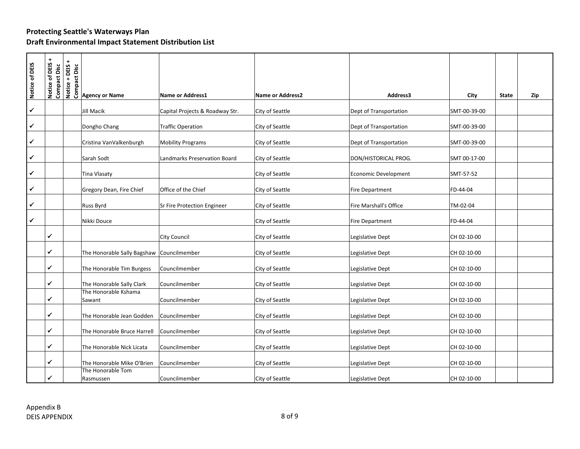| Notice of DEIS | $\ddot{}$<br>Notice of DEIS +<br>Compact Disc | Notice + DEIS +<br><b>Compact Disc</b> |                                |                                 |                         |                             |                      |     |
|----------------|-----------------------------------------------|----------------------------------------|--------------------------------|---------------------------------|-------------------------|-----------------------------|----------------------|-----|
|                |                                               |                                        |                                |                                 |                         |                             |                      |     |
|                |                                               |                                        | <b>Agency or Name</b>          | <b>Name or Address1</b>         | <b>Name or Address2</b> | Address3                    | City<br><b>State</b> | Zip |
| ✔              |                                               |                                        | Jill Macik                     | Capital Projects & Roadway Str. | City of Seattle         | Dept of Transportation      | SMT-00-39-00         |     |
| ✓              |                                               |                                        | Dongho Chang                   | <b>Traffic Operation</b>        | City of Seattle         | Dept of Transportation      | SMT-00-39-00         |     |
| ✔              |                                               |                                        | Cristina VanValkenburgh        | <b>Mobility Programs</b>        | City of Seattle         | Dept of Transportation      | SMT-00-39-00         |     |
| ✓              |                                               |                                        | Sarah Sodt                     | Landmarks Preservation Board    | City of Seattle         | DON/HISTORICAL PROG.        | SMT 00-17-00         |     |
| ✓              |                                               |                                        | <b>Tina Vlasaty</b>            |                                 | City of Seattle         | <b>Economic Development</b> | SMT-57-52            |     |
| ✓              |                                               |                                        | Gregory Dean, Fire Chief       | Office of the Chief             | City of Seattle         | <b>Fire Department</b>      | FD-44-04             |     |
| ✓              |                                               |                                        | Russ Byrd                      | Sr Fire Protection Engineer     | City of Seattle         | Fire Marshall's Office      | TM-02-04             |     |
| ✓              |                                               |                                        | Nikki Douce                    |                                 | City of Seattle         | Fire Department             | FD-44-04             |     |
|                | $\checkmark$                                  |                                        |                                | City Council                    | City of Seattle         | Legislative Dept            | CH 02-10-00          |     |
|                | $\checkmark$                                  |                                        | The Honorable Sally Bagshaw    | Councilmember                   | City of Seattle         | Legislative Dept            | CH 02-10-00          |     |
|                | $\checkmark$                                  |                                        | The Honorable Tim Burgess      | Councilmember                   | City of Seattle         | Legislative Dept            | CH 02-10-00          |     |
|                | ✓                                             |                                        | The Honorable Sally Clark      | Councilmember                   | City of Seattle         | Legislative Dept            | CH 02-10-00          |     |
|                | $\checkmark$                                  |                                        | The Honorable Kshama<br>Sawant | Councilmember                   | City of Seattle         | Legislative Dept            | CH 02-10-00          |     |
|                | ✔                                             |                                        | The Honorable Jean Godden      | Councilmember                   | City of Seattle         | Legislative Dept            | CH 02-10-00          |     |
|                | $\checkmark$                                  |                                        | The Honorable Bruce Harrell    | Councilmember                   | City of Seattle         | Legislative Dept            | CH 02-10-00          |     |
|                | $\checkmark$                                  |                                        | The Honorable Nick Licata      | Councilmember                   | City of Seattle         | Legislative Dept            | CH 02-10-00          |     |
|                | $\checkmark$                                  |                                        | The Honorable Mike O'Brien     | Councilmember                   | City of Seattle         | Legislative Dept            | CH 02-10-00          |     |
|                | $\checkmark$                                  |                                        | The Honorable Tom<br>Rasmussen | Councilmember                   | City of Seattle         | Legislative Dept            | CH 02-10-00          |     |
|                |                                               |                                        |                                |                                 |                         |                             |                      |     |
|                |                                               |                                        |                                |                                 |                         |                             |                      |     |
|                | Appendix B<br><b>DEIS APPENDIX</b>            |                                        |                                |                                 | $8$ of $9$              |                             |                      |     |